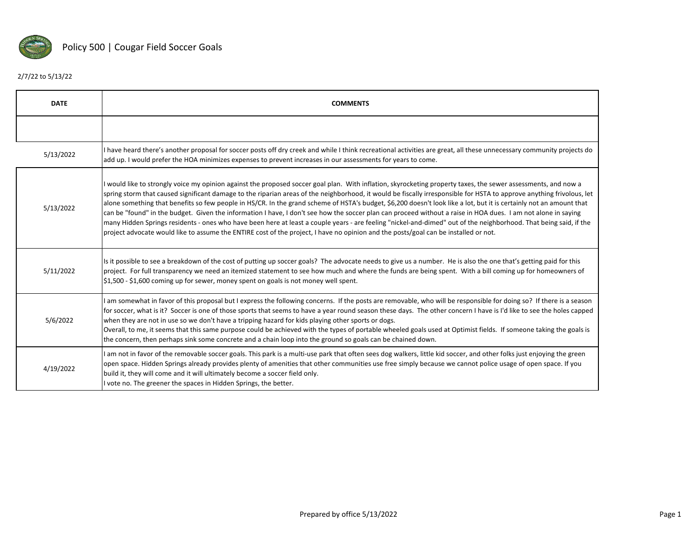

## 2/7/22 to 5/13/22

| <b>DATE</b> | <b>COMMENTS</b>                                                                                                                                                                                                                                                                                                                                                                                                                                                                                                                                                                                                                                                                                                                                                                                                                                                                                                                                                                           |
|-------------|-------------------------------------------------------------------------------------------------------------------------------------------------------------------------------------------------------------------------------------------------------------------------------------------------------------------------------------------------------------------------------------------------------------------------------------------------------------------------------------------------------------------------------------------------------------------------------------------------------------------------------------------------------------------------------------------------------------------------------------------------------------------------------------------------------------------------------------------------------------------------------------------------------------------------------------------------------------------------------------------|
|             |                                                                                                                                                                                                                                                                                                                                                                                                                                                                                                                                                                                                                                                                                                                                                                                                                                                                                                                                                                                           |
| 5/13/2022   | I have heard there's another proposal for soccer posts off dry creek and while I think recreational activities are great, all these unnecessary community projects do<br>add up. I would prefer the HOA minimizes expenses to prevent increases in our assessments for years to come.                                                                                                                                                                                                                                                                                                                                                                                                                                                                                                                                                                                                                                                                                                     |
| 5/13/2022   | would like to strongly voice my opinion against the proposed soccer goal plan. With inflation, skyrocketing property taxes, the sewer assessments, and now a<br>spring storm that caused significant damage to the riparian areas of the neighborhood, it would be fiscally irresponsible for HSTA to approve anything frivolous, let<br>alone something that benefits so few people in HS/CR. In the grand scheme of HSTA's budget, \$6,200 doesn't look like a lot, but it is certainly not an amount that<br>can be "found" in the budget. Given the information I have, I don't see how the soccer plan can proceed without a raise in HOA dues. I am not alone in saying<br>many Hidden Springs residents - ones who have been here at least a couple years - are feeling "nickel-and-dimed" out of the neighborhood. That being said, if the<br>project advocate would like to assume the ENTIRE cost of the project, I have no opinion and the posts/goal can be installed or not. |
| 5/11/2022   | Is it possible to see a breakdown of the cost of putting up soccer goals? The advocate needs to give us a number. He is also the one that's getting paid for this<br>project. For full transparency we need an itemized statement to see how much and where the funds are being spent. With a bill coming up for homeowners of<br>$$1,500$ - \$1,600 coming up for sewer, money spent on goals is not money well spent.                                                                                                                                                                                                                                                                                                                                                                                                                                                                                                                                                                   |
| 5/6/2022    | I am somewhat in favor of this proposal but I express the following concerns. If the posts are removable, who will be responsible for doing so? If there is a season<br>for soccer, what is it? Soccer is one of those sports that seems to have a year round season these days. The other concern I have is I'd like to see the holes capped<br>when they are not in use so we don't have a tripping hazard for kids playing other sports or dogs.<br>Overall, to me, it seems that this same purpose could be achieved with the types of portable wheeled goals used at Optimist fields. If someone taking the goals is<br>the concern, then perhaps sink some concrete and a chain loop into the ground so goals can be chained down.                                                                                                                                                                                                                                                  |
| 4/19/2022   | I am not in favor of the removable soccer goals. This park is a multi-use park that often sees dog walkers, little kid soccer, and other folks just enjoying the green<br>open space. Hidden Springs already provides plenty of amenities that other communities use free simply because we cannot police usage of open space. If you<br>build it, they will come and it will ultimately become a soccer field only.<br>I vote no. The greener the spaces in Hidden Springs, the better.                                                                                                                                                                                                                                                                                                                                                                                                                                                                                                  |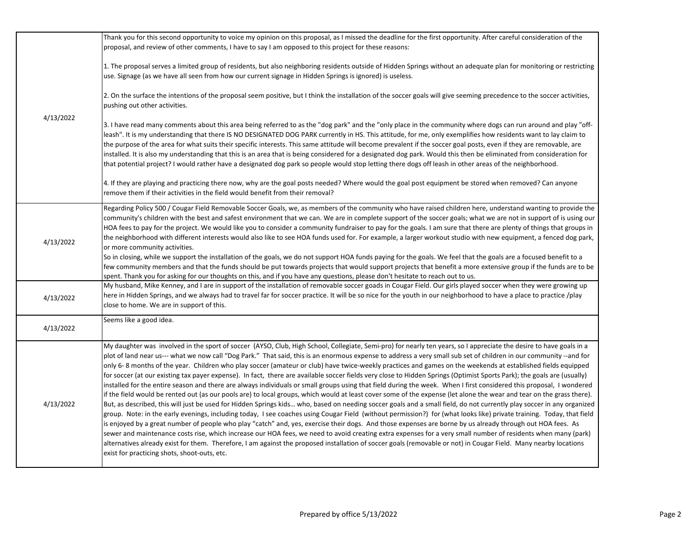|           | Thank you for this second opportunity to voice my opinion on this proposal, as I missed the deadline for the first opportunity. After careful consideration of the                                                                                                                                                                                                                                                                                                                                                                                                                                                                                                                                                                                                                                                                                                                                                                                                                                                                                                                                                                                                                                                                                                                                                                                                                                                                                                                                                                                                                                                                                                                                                                                                                                                                                                                                                                         |
|-----------|--------------------------------------------------------------------------------------------------------------------------------------------------------------------------------------------------------------------------------------------------------------------------------------------------------------------------------------------------------------------------------------------------------------------------------------------------------------------------------------------------------------------------------------------------------------------------------------------------------------------------------------------------------------------------------------------------------------------------------------------------------------------------------------------------------------------------------------------------------------------------------------------------------------------------------------------------------------------------------------------------------------------------------------------------------------------------------------------------------------------------------------------------------------------------------------------------------------------------------------------------------------------------------------------------------------------------------------------------------------------------------------------------------------------------------------------------------------------------------------------------------------------------------------------------------------------------------------------------------------------------------------------------------------------------------------------------------------------------------------------------------------------------------------------------------------------------------------------------------------------------------------------------------------------------------------------|
|           | proposal, and review of other comments, I have to say I am opposed to this project for these reasons:                                                                                                                                                                                                                                                                                                                                                                                                                                                                                                                                                                                                                                                                                                                                                                                                                                                                                                                                                                                                                                                                                                                                                                                                                                                                                                                                                                                                                                                                                                                                                                                                                                                                                                                                                                                                                                      |
|           | 1. The proposal serves a limited group of residents, but also neighboring residents outside of Hidden Springs without an adequate plan for monitoring or restricting<br>use. Signage (as we have all seen from how our current signage in Hidden Springs is ignored) is useless.                                                                                                                                                                                                                                                                                                                                                                                                                                                                                                                                                                                                                                                                                                                                                                                                                                                                                                                                                                                                                                                                                                                                                                                                                                                                                                                                                                                                                                                                                                                                                                                                                                                           |
|           | 2. On the surface the intentions of the proposal seem positive, but I think the installation of the soccer goals will give seeming precedence to the soccer activities,<br>pushing out other activities.                                                                                                                                                                                                                                                                                                                                                                                                                                                                                                                                                                                                                                                                                                                                                                                                                                                                                                                                                                                                                                                                                                                                                                                                                                                                                                                                                                                                                                                                                                                                                                                                                                                                                                                                   |
| 4/13/2022 | 3. I have read many comments about this area being referred to as the "dog park" and the "only place in the community where dogs can run around and play "off-<br>leash". It is my understanding that there IS NO DESIGNATED DOG PARK currently in HS. This attitude, for me, only exemplifies how residents want to lay claim to<br>the purpose of the area for what suits their specific interests. This same attitude will become prevalent if the soccer goal posts, even if they are removable, are<br>installed. It is also my understanding that this is an area that is being considered for a designated dog park. Would this then be eliminated from consideration for<br>that potential project? I would rather have a designated dog park so people would stop letting there dogs off leash in other areas of the neighborhood.                                                                                                                                                                                                                                                                                                                                                                                                                                                                                                                                                                                                                                                                                                                                                                                                                                                                                                                                                                                                                                                                                                |
|           | 4. If they are playing and practicing there now, why are the goal posts needed? Where would the goal post equipment be stored when removed? Can anyone<br>remove them if their activities in the field would benefit from their removal?                                                                                                                                                                                                                                                                                                                                                                                                                                                                                                                                                                                                                                                                                                                                                                                                                                                                                                                                                                                                                                                                                                                                                                                                                                                                                                                                                                                                                                                                                                                                                                                                                                                                                                   |
| 4/13/2022 | Regarding Policy 500 / Cougar Field Removable Soccer Goals, we, as members of the community who have raised children here, understand wanting to provide the<br>community's children with the best and safest environment that we can. We are in complete support of the soccer goals; what we are not in support of is using our<br>HOA fees to pay for the project. We would like you to consider a community fundraiser to pay for the goals. I am sure that there are plenty of things that groups in<br>the neighborhood with different interests would also like to see HOA funds used for. For example, a larger workout studio with new equipment, a fenced dog park,<br>or more community activities.                                                                                                                                                                                                                                                                                                                                                                                                                                                                                                                                                                                                                                                                                                                                                                                                                                                                                                                                                                                                                                                                                                                                                                                                                             |
|           | So in closing, while we support the installation of the goals, we do not support HOA funds paying for the goals. We feel that the goals are a focused benefit to a<br>few community members and that the funds should be put towards projects that would support projects that benefit a more extensive group if the funds are to be<br>spent. Thank you for asking for our thoughts on this, and if you have any questions, please don't hesitate to reach out to us.                                                                                                                                                                                                                                                                                                                                                                                                                                                                                                                                                                                                                                                                                                                                                                                                                                                                                                                                                                                                                                                                                                                                                                                                                                                                                                                                                                                                                                                                     |
| 4/13/2022 | My husband, Mike Kenney, and I are in support of the installation of removable soccer goads in Cougar Field. Our girls played soccer when they were growing up<br>here in Hidden Springs, and we always had to travel far for soccer practice. It will be so nice for the youth in our neighborhood to have a place to practice /play<br>close to home. We are in support of this.                                                                                                                                                                                                                                                                                                                                                                                                                                                                                                                                                                                                                                                                                                                                                                                                                                                                                                                                                                                                                                                                                                                                                                                                                                                                                                                                                                                                                                                                                                                                                         |
| 4/13/2022 | Seems like a good idea.                                                                                                                                                                                                                                                                                                                                                                                                                                                                                                                                                                                                                                                                                                                                                                                                                                                                                                                                                                                                                                                                                                                                                                                                                                                                                                                                                                                                                                                                                                                                                                                                                                                                                                                                                                                                                                                                                                                    |
| 4/13/2022 | My daughter was involved in the sport of soccer (AYSO, Club, High School, Collegiate, Semi-pro) for nearly ten years, so I appreciate the desire to have goals in a<br>plot of land near us--- what we now call "Dog Park." That said, this is an enormous expense to address a very small sub set of children in our community --and for<br>only 6-8 months of the year. Children who play soccer (amateur or club) have twice-weekly practices and games on the weekends at established fields equipped<br>for soccer (at our existing tax payer expense). In fact, there are available soccer fields very close to Hidden Springs (Optimist Sports Park); the goals are (usually)<br>installed for the entire season and there are always individuals or small groups using that field during the week. When I first considered this proposal, I wondered<br>if the field would be rented out (as our pools are) to local groups, which would at least cover some of the expense (let alone the wear and tear on the grass there).<br>But, as described, this will just be used for Hidden Springs kids who, based on needing soccer goals and a small field, do not currently play soccer in any organized<br>group. Note: in the early evenings, including today, I see coaches using Cougar Field (without permission?) for (what looks like) private training. Today, that field<br>is enjoyed by a great number of people who play "catch" and, yes, exercise their dogs. And those expenses are borne by us already through out HOA fees. As<br>sewer and maintenance costs rise, which increase our HOA fees, we need to avoid creating extra expenses for a very small number of residents when many (park)<br>alternatives already exist for them. Therefore, I am against the proposed installation of soccer goals (removable or not) in Cougar Field. Many nearby locations<br>exist for practicing shots, shoot-outs, etc. |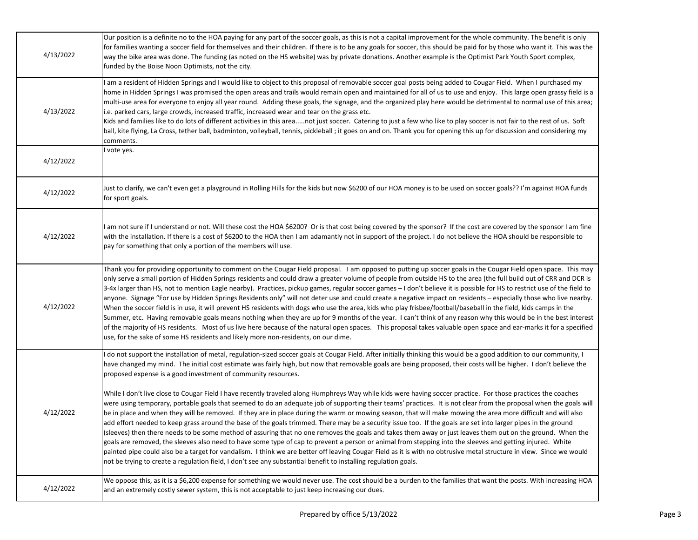| 4/13/2022 | Our position is a definite no to the HOA paying for any part of the soccer goals, as this is not a capital improvement for the whole community. The benefit is only<br>for families wanting a soccer field for themselves and their children. If there is to be any goals for soccer, this should be paid for by those who want it. This was the<br>way the bike area was done. The funding (as noted on the HS website) was by private donations. Another example is the Optimist Park Youth Sport complex,<br>funded by the Boise Noon Optimists, not the city.                                                                                                                                                                                                                                                                                                                                                                                                                                                                                                                                                                                                                                                                                                                           |
|-----------|---------------------------------------------------------------------------------------------------------------------------------------------------------------------------------------------------------------------------------------------------------------------------------------------------------------------------------------------------------------------------------------------------------------------------------------------------------------------------------------------------------------------------------------------------------------------------------------------------------------------------------------------------------------------------------------------------------------------------------------------------------------------------------------------------------------------------------------------------------------------------------------------------------------------------------------------------------------------------------------------------------------------------------------------------------------------------------------------------------------------------------------------------------------------------------------------------------------------------------------------------------------------------------------------|
| 4/13/2022 | am a resident of Hidden Springs and I would like to object to this proposal of removable soccer goal posts being added to Cougar Field. When I purchased my<br>home in Hidden Springs I was promised the open areas and trails would remain open and maintained for all of us to use and enjoy. This large open grassy field is a<br>multi-use area for everyone to enjoy all year round. Adding these goals, the signage, and the organized play here would be detrimental to normal use of this area;<br>i.e. parked cars, large crowds, increased traffic, increased wear and tear on the grass etc.<br>Kids and families like to do lots of different activities in this areanot just soccer. Catering to just a few who like to play soccer is not fair to the rest of us. Soft<br>ball, kite flying, La Cross, tether ball, badminton, volleyball, tennis, pickleball; it goes on and on. Thank you for opening this up for discussion and considering my<br>comments.                                                                                                                                                                                                                                                                                                                |
| 4/12/2022 | vote yes.                                                                                                                                                                                                                                                                                                                                                                                                                                                                                                                                                                                                                                                                                                                                                                                                                                                                                                                                                                                                                                                                                                                                                                                                                                                                                   |
| 4/12/2022 | Just to clarify, we can't even get a playground in Rolling Hills for the kids but now \$6200 of our HOA money is to be used on soccer goals?? I'm against HOA funds<br>for sport goals.                                                                                                                                                                                                                                                                                                                                                                                                                                                                                                                                                                                                                                                                                                                                                                                                                                                                                                                                                                                                                                                                                                     |
| 4/12/2022 | am not sure if I understand or not. Will these cost the HOA \$6200? Or is that cost being covered by the sponsor? If the cost are covered by the sponsor I am fine<br>with the installation. If there is a cost of \$6200 to the HOA then I am adamantly not in support of the project. I do not believe the HOA should be responsible to<br>pay for something that only a portion of the members will use.                                                                                                                                                                                                                                                                                                                                                                                                                                                                                                                                                                                                                                                                                                                                                                                                                                                                                 |
| 4/12/2022 | Thank you for providing opportunity to comment on the Cougar Field proposal. I am opposed to putting up soccer goals in the Cougar Field open space. This may<br>only serve a small portion of Hidden Springs residents and could draw a greater volume of people from outside HS to the area (the full build out of CRR and DCR is<br>3-4x larger than HS, not to mention Eagle nearby). Practices, pickup games, regular soccer games - I don't believe it is possible for HS to restrict use of the field to<br>anyone. Signage "For use by Hidden Springs Residents only" will not deter use and could create a negative impact on residents - especially those who live nearby.<br>When the soccer field is in use, it will prevent HS residents with dogs who use the area, kids who play frisbee/football/baseball in the field, kids camps in the<br>Summer, etc. Having removable goals means nothing when they are up for 9 months of the year. I can't think of any reason why this would be in the best interest<br>of the majority of HS residents. Most of us live here because of the natural open spaces. This proposal takes valuable open space and ear-marks it for a specified<br>use, for the sake of some HS residents and likely more non-residents, on our dime.    |
|           | do not support the installation of metal, regulation-sized soccer goals at Cougar Field. After initially thinking this would be a good addition to our community, I<br>have changed my mind. The initial cost estimate was fairly high, but now that removable goals are being proposed, their costs will be higher. I don't believe the<br>proposed expense is a good investment of community resources.                                                                                                                                                                                                                                                                                                                                                                                                                                                                                                                                                                                                                                                                                                                                                                                                                                                                                   |
| 4/12/2022 | While I don't live close to Cougar Field I have recently traveled along Humphreys Way while kids were having soccer practice. For those practices the coaches<br>were using temporary, portable goals that seemed to do an adequate job of supporting their teams' practices. It is not clear from the proposal when the goals will<br>be in place and when they will be removed. If they are in place during the warm or mowing season, that will make mowing the area more difficult and will also<br>add effort needed to keep grass around the base of the goals trimmed. There may be a security issue too. If the goals are set into larger pipes in the ground<br>(sleeves) then there needs to be some method of assuring that no one removes the goals and takes them away or just leaves them out on the ground. When the<br>goals are removed, the sleeves also need to have some type of cap to prevent a person or animal from stepping into the sleeves and getting injured. White<br>painted pipe could also be a target for vandalism. I think we are better off leaving Cougar Field as it is with no obtrusive metal structure in view. Since we would<br>not be trying to create a regulation field, I don't see any substantial benefit to installing regulation goals. |
| 4/12/2022 | We oppose this, as it is a \$6,200 expense for something we would never use. The cost should be a burden to the families that want the posts. With increasing HOA<br>and an extremely costly sewer system, this is not acceptable to just keep increasing our dues.                                                                                                                                                                                                                                                                                                                                                                                                                                                                                                                                                                                                                                                                                                                                                                                                                                                                                                                                                                                                                         |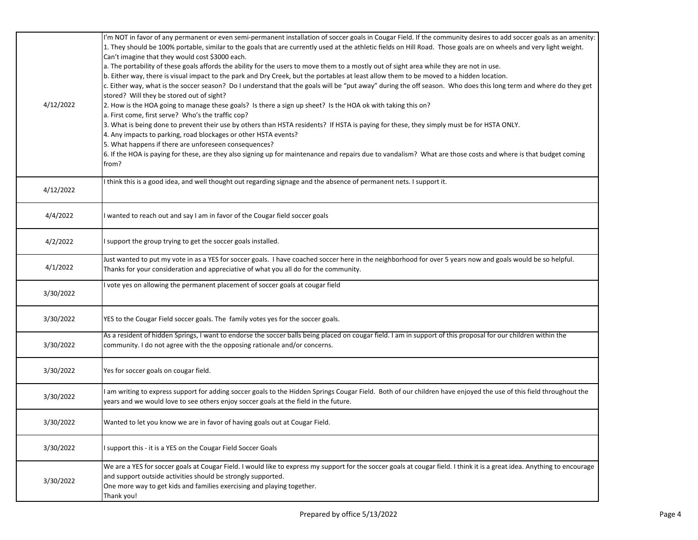| 4/12/2022 | I'm NOT in favor of any permanent or even semi-permanent installation of soccer goals in Cougar Field. If the community desires to add soccer goals as an amenity:<br>1. They should be 100% portable, similar to the goals that are currently used at the athletic fields on Hill Road. Those goals are on wheels and very light weight.<br>Can't imagine that they would cost \$3000 each.<br>a. The portability of these goals affords the ability for the users to move them to a mostly out of sight area while they are not in use.<br>b. Either way, there is visual impact to the park and Dry Creek, but the portables at least allow them to be moved to a hidden location.<br>c. Either way, what is the soccer season? Do I understand that the goals will be "put away" during the off season. Who does this long term and where do they get<br>stored? Will they be stored out of sight?<br>2. How is the HOA going to manage these goals? Is there a sign up sheet? Is the HOA ok with taking this on?<br>a. First come, first serve? Who's the traffic cop?<br>3. What is being done to prevent their use by others than HSTA residents? If HSTA is paying for these, they simply must be for HSTA ONLY.<br>4. Any impacts to parking, road blockages or other HSTA events?<br>5. What happens if there are unforeseen consequences?<br>6. If the HOA is paying for these, are they also signing up for maintenance and repairs due to vandalism? What are those costs and where is that budget coming<br>from? |
|-----------|---------------------------------------------------------------------------------------------------------------------------------------------------------------------------------------------------------------------------------------------------------------------------------------------------------------------------------------------------------------------------------------------------------------------------------------------------------------------------------------------------------------------------------------------------------------------------------------------------------------------------------------------------------------------------------------------------------------------------------------------------------------------------------------------------------------------------------------------------------------------------------------------------------------------------------------------------------------------------------------------------------------------------------------------------------------------------------------------------------------------------------------------------------------------------------------------------------------------------------------------------------------------------------------------------------------------------------------------------------------------------------------------------------------------------------------------------------------------------------------------------------------------------------|
| 4/12/2022 | I think this is a good idea, and well thought out regarding signage and the absence of permanent nets. I support it.                                                                                                                                                                                                                                                                                                                                                                                                                                                                                                                                                                                                                                                                                                                                                                                                                                                                                                                                                                                                                                                                                                                                                                                                                                                                                                                                                                                                            |
| 4/4/2022  | I wanted to reach out and say I am in favor of the Cougar field soccer goals                                                                                                                                                                                                                                                                                                                                                                                                                                                                                                                                                                                                                                                                                                                                                                                                                                                                                                                                                                                                                                                                                                                                                                                                                                                                                                                                                                                                                                                    |
| 4/2/2022  | I support the group trying to get the soccer goals installed.                                                                                                                                                                                                                                                                                                                                                                                                                                                                                                                                                                                                                                                                                                                                                                                                                                                                                                                                                                                                                                                                                                                                                                                                                                                                                                                                                                                                                                                                   |
| 4/1/2022  | Just wanted to put my vote in as a YES for soccer goals. I have coached soccer here in the neighborhood for over 5 years now and goals would be so helpful.<br>Thanks for your consideration and appreciative of what you all do for the community.                                                                                                                                                                                                                                                                                                                                                                                                                                                                                                                                                                                                                                                                                                                                                                                                                                                                                                                                                                                                                                                                                                                                                                                                                                                                             |
| 3/30/2022 | I vote yes on allowing the permanent placement of soccer goals at cougar field                                                                                                                                                                                                                                                                                                                                                                                                                                                                                                                                                                                                                                                                                                                                                                                                                                                                                                                                                                                                                                                                                                                                                                                                                                                                                                                                                                                                                                                  |
| 3/30/2022 | YES to the Cougar Field soccer goals. The family votes yes for the soccer goals.                                                                                                                                                                                                                                                                                                                                                                                                                                                                                                                                                                                                                                                                                                                                                                                                                                                                                                                                                                                                                                                                                                                                                                                                                                                                                                                                                                                                                                                |
| 3/30/2022 | As a resident of hidden Springs, I want to endorse the soccer balls being placed on cougar field. I am in support of this proposal for our children within the<br>community. I do not agree with the the opposing rationale and/or concerns.                                                                                                                                                                                                                                                                                                                                                                                                                                                                                                                                                                                                                                                                                                                                                                                                                                                                                                                                                                                                                                                                                                                                                                                                                                                                                    |
| 3/30/2022 | Yes for soccer goals on cougar field.                                                                                                                                                                                                                                                                                                                                                                                                                                                                                                                                                                                                                                                                                                                                                                                                                                                                                                                                                                                                                                                                                                                                                                                                                                                                                                                                                                                                                                                                                           |
| 3/30/2022 | am writing to express support for adding soccer goals to the Hidden Springs Cougar Field. Both of our children have enjoyed the use of this field throughout the<br>years and we would love to see others enjoy soccer goals at the field in the future.                                                                                                                                                                                                                                                                                                                                                                                                                                                                                                                                                                                                                                                                                                                                                                                                                                                                                                                                                                                                                                                                                                                                                                                                                                                                        |
| 3/30/2022 | Wanted to let you know we are in favor of having goals out at Cougar Field.                                                                                                                                                                                                                                                                                                                                                                                                                                                                                                                                                                                                                                                                                                                                                                                                                                                                                                                                                                                                                                                                                                                                                                                                                                                                                                                                                                                                                                                     |
| 3/30/2022 | I support this - it is a YES on the Cougar Field Soccer Goals                                                                                                                                                                                                                                                                                                                                                                                                                                                                                                                                                                                                                                                                                                                                                                                                                                                                                                                                                                                                                                                                                                                                                                                                                                                                                                                                                                                                                                                                   |
| 3/30/2022 | We are a YES for soccer goals at Cougar Field. I would like to express my support for the soccer goals at cougar field. I think it is a great idea. Anything to encourage<br>and support outside activities should be strongly supported.<br>One more way to get kids and families exercising and playing together.<br>Thank you!                                                                                                                                                                                                                                                                                                                                                                                                                                                                                                                                                                                                                                                                                                                                                                                                                                                                                                                                                                                                                                                                                                                                                                                               |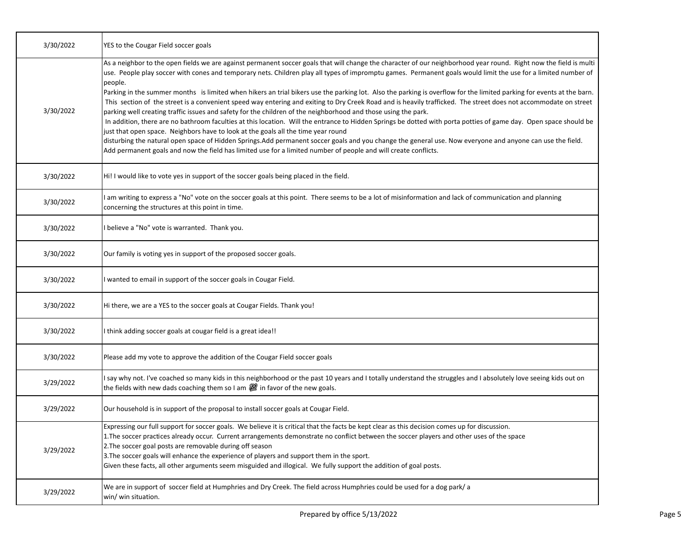| 3/30/2022 | YES to the Cougar Field soccer goals                                                                                                                                                                                                                                                                                                                                                                                                                                                                                                                                                                                                                                                                                                                                                                                                                                                                                                                                                                                                                                                                                                                                                                                                                                                                                                                     |
|-----------|----------------------------------------------------------------------------------------------------------------------------------------------------------------------------------------------------------------------------------------------------------------------------------------------------------------------------------------------------------------------------------------------------------------------------------------------------------------------------------------------------------------------------------------------------------------------------------------------------------------------------------------------------------------------------------------------------------------------------------------------------------------------------------------------------------------------------------------------------------------------------------------------------------------------------------------------------------------------------------------------------------------------------------------------------------------------------------------------------------------------------------------------------------------------------------------------------------------------------------------------------------------------------------------------------------------------------------------------------------|
| 3/30/2022 | As a neighbor to the open fields we are against permanent soccer goals that will change the character of our neighborhood year round. Right now the field is multi<br>use. People play soccer with cones and temporary nets. Children play all types of impromptu games. Permanent goals would limit the use for a limited number of<br>people.<br>Parking in the summer months is limited when hikers an trial bikers use the parking lot. Also the parking is overflow for the limited parking for events at the barn.<br>This section of the street is a convenient speed way entering and exiting to Dry Creek Road and is heavily trafficked. The street does not accommodate on street<br>parking well creating traffic issues and safety for the children of the neighborhood and those using the park.<br>In addition, there are no bathroom faculties at this location. Will the entrance to Hidden Springs be dotted with porta potties of game day. Open space should be<br>just that open space. Neighbors have to look at the goals all the time year round<br>disturbing the natural open space of Hidden Springs.Add permanent soccer goals and you change the general use. Now everyone and anyone can use the field.<br>Add permanent goals and now the field has limited use for a limited number of people and will create conflicts. |
| 3/30/2022 | Hi! I would like to vote yes in support of the soccer goals being placed in the field.                                                                                                                                                                                                                                                                                                                                                                                                                                                                                                                                                                                                                                                                                                                                                                                                                                                                                                                                                                                                                                                                                                                                                                                                                                                                   |
| 3/30/2022 | am writing to express a "No" vote on the soccer goals at this point. There seems to be a lot of misinformation and lack of communication and planning<br>concerning the structures at this point in time.                                                                                                                                                                                                                                                                                                                                                                                                                                                                                                                                                                                                                                                                                                                                                                                                                                                                                                                                                                                                                                                                                                                                                |
| 3/30/2022 | I believe a "No" vote is warranted. Thank you.                                                                                                                                                                                                                                                                                                                                                                                                                                                                                                                                                                                                                                                                                                                                                                                                                                                                                                                                                                                                                                                                                                                                                                                                                                                                                                           |
| 3/30/2022 | Our family is voting yes in support of the proposed soccer goals.                                                                                                                                                                                                                                                                                                                                                                                                                                                                                                                                                                                                                                                                                                                                                                                                                                                                                                                                                                                                                                                                                                                                                                                                                                                                                        |
| 3/30/2022 | I wanted to email in support of the soccer goals in Cougar Field.                                                                                                                                                                                                                                                                                                                                                                                                                                                                                                                                                                                                                                                                                                                                                                                                                                                                                                                                                                                                                                                                                                                                                                                                                                                                                        |
| 3/30/2022 | Hi there, we are a YES to the soccer goals at Cougar Fields. Thank you!                                                                                                                                                                                                                                                                                                                                                                                                                                                                                                                                                                                                                                                                                                                                                                                                                                                                                                                                                                                                                                                                                                                                                                                                                                                                                  |
| 3/30/2022 | think adding soccer goals at cougar field is a great idea!!                                                                                                                                                                                                                                                                                                                                                                                                                                                                                                                                                                                                                                                                                                                                                                                                                                                                                                                                                                                                                                                                                                                                                                                                                                                                                              |
| 3/30/2022 | Please add my vote to approve the addition of the Cougar Field soccer goals                                                                                                                                                                                                                                                                                                                                                                                                                                                                                                                                                                                                                                                                                                                                                                                                                                                                                                                                                                                                                                                                                                                                                                                                                                                                              |
| 3/29/2022 | say why not. I've coached so many kids in this neighborhood or the past 10 years and I totally understand the struggles and I absolutely love seeing kids out on<br>the fields with new dads coaching them so I am $\mathcal{Q}$ in favor of the new goals.                                                                                                                                                                                                                                                                                                                                                                                                                                                                                                                                                                                                                                                                                                                                                                                                                                                                                                                                                                                                                                                                                              |
| 3/29/2022 | Our household is in support of the proposal to install soccer goals at Cougar Field.                                                                                                                                                                                                                                                                                                                                                                                                                                                                                                                                                                                                                                                                                                                                                                                                                                                                                                                                                                                                                                                                                                                                                                                                                                                                     |
| 3/29/2022 | Expressing our full support for soccer goals. We believe it is critical that the facts be kept clear as this decision comes up for discussion.<br>1. The soccer practices already occur. Current arrangements demonstrate no conflict between the soccer players and other uses of the space<br>2. The soccer goal posts are removable during off season<br>3. The soccer goals will enhance the experience of players and support them in the sport.<br>Given these facts, all other arguments seem misguided and illogical. We fully support the addition of goal posts.                                                                                                                                                                                                                                                                                                                                                                                                                                                                                                                                                                                                                                                                                                                                                                               |
| 3/29/2022 | We are in support of soccer field at Humphries and Dry Creek. The field across Humphries could be used for a dog park/ a<br>win/ win situation.                                                                                                                                                                                                                                                                                                                                                                                                                                                                                                                                                                                                                                                                                                                                                                                                                                                                                                                                                                                                                                                                                                                                                                                                          |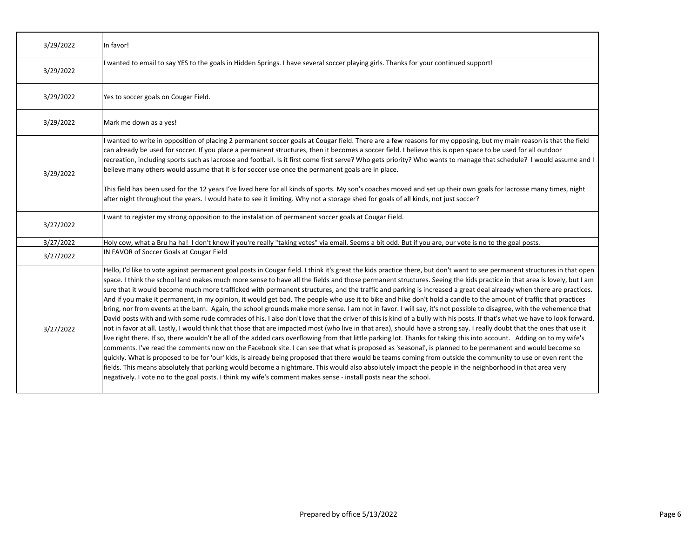| 3/29/2022 | In favor!                                                                                                                                                                                                                                                                                                                                                                                                                                                                                                                                                                                                                                                                                                                                                                                                                                                                                                                                                                                                                                                                                                                                                                                                                                                                                                                                                                                                                                                                                                                                                                                                                                                                                                                                                                                                                                                                                                                                                                                                          |
|-----------|--------------------------------------------------------------------------------------------------------------------------------------------------------------------------------------------------------------------------------------------------------------------------------------------------------------------------------------------------------------------------------------------------------------------------------------------------------------------------------------------------------------------------------------------------------------------------------------------------------------------------------------------------------------------------------------------------------------------------------------------------------------------------------------------------------------------------------------------------------------------------------------------------------------------------------------------------------------------------------------------------------------------------------------------------------------------------------------------------------------------------------------------------------------------------------------------------------------------------------------------------------------------------------------------------------------------------------------------------------------------------------------------------------------------------------------------------------------------------------------------------------------------------------------------------------------------------------------------------------------------------------------------------------------------------------------------------------------------------------------------------------------------------------------------------------------------------------------------------------------------------------------------------------------------------------------------------------------------------------------------------------------------|
| 3/29/2022 | wanted to email to say YES to the goals in Hidden Springs. I have several soccer playing girls. Thanks for your continued support!                                                                                                                                                                                                                                                                                                                                                                                                                                                                                                                                                                                                                                                                                                                                                                                                                                                                                                                                                                                                                                                                                                                                                                                                                                                                                                                                                                                                                                                                                                                                                                                                                                                                                                                                                                                                                                                                                 |
| 3/29/2022 | Yes to soccer goals on Cougar Field.                                                                                                                                                                                                                                                                                                                                                                                                                                                                                                                                                                                                                                                                                                                                                                                                                                                                                                                                                                                                                                                                                                                                                                                                                                                                                                                                                                                                                                                                                                                                                                                                                                                                                                                                                                                                                                                                                                                                                                               |
| 3/29/2022 | Mark me down as a yes!                                                                                                                                                                                                                                                                                                                                                                                                                                                                                                                                                                                                                                                                                                                                                                                                                                                                                                                                                                                                                                                                                                                                                                                                                                                                                                                                                                                                                                                                                                                                                                                                                                                                                                                                                                                                                                                                                                                                                                                             |
| 3/29/2022 | wanted to write in opposition of placing 2 permanent soccer goals at Cougar field. There are a few reasons for my opposing, but my main reason is that the field<br>can already be used for soccer. If you place a permanent structures, then it becomes a soccer field. I believe this is open space to be used for all outdoor<br>recreation, including sports such as lacrosse and football. Is it first come first serve? Who gets priority? Who wants to manage that schedule? I would assume and I<br>believe many others would assume that it is for soccer use once the permanent goals are in place.<br>This field has been used for the 12 years I've lived here for all kinds of sports. My son's coaches moved and set up their own goals for lacrosse many times, night<br>after night throughout the years. I would hate to see it limiting. Why not a storage shed for goals of all kinds, not just soccer?                                                                                                                                                                                                                                                                                                                                                                                                                                                                                                                                                                                                                                                                                                                                                                                                                                                                                                                                                                                                                                                                                         |
| 3/27/2022 | I want to register my strong opposition to the instalation of permanent soccer goals at Cougar Field.                                                                                                                                                                                                                                                                                                                                                                                                                                                                                                                                                                                                                                                                                                                                                                                                                                                                                                                                                                                                                                                                                                                                                                                                                                                                                                                                                                                                                                                                                                                                                                                                                                                                                                                                                                                                                                                                                                              |
| 3/27/2022 | Holy cow, what a Bru ha ha! I don't know if you're really "taking votes" via email. Seems a bit odd. But if you are, our vote is no to the goal posts.                                                                                                                                                                                                                                                                                                                                                                                                                                                                                                                                                                                                                                                                                                                                                                                                                                                                                                                                                                                                                                                                                                                                                                                                                                                                                                                                                                                                                                                                                                                                                                                                                                                                                                                                                                                                                                                             |
| 3/27/2022 | IN FAVOR of Soccer Goals at Cougar Field                                                                                                                                                                                                                                                                                                                                                                                                                                                                                                                                                                                                                                                                                                                                                                                                                                                                                                                                                                                                                                                                                                                                                                                                                                                                                                                                                                                                                                                                                                                                                                                                                                                                                                                                                                                                                                                                                                                                                                           |
| 3/27/2022 | Hello, I'd like to vote against permanent goal posts in Cougar field. I think it's great the kids practice there, but don't want to see permanent structures in that open<br>space. I think the school land makes much more sense to have all the fields and those permanent structures. Seeing the kids practice in that area is lovely, but I am<br>sure that it would become much more trafficked with permanent structures, and the traffic and parking is increased a great deal already when there are practices.<br>And if you make it permanent, in my opinion, it would get bad. The people who use it to bike and hike don't hold a candle to the amount of traffic that practices<br>bring, nor from events at the barn. Again, the school grounds make more sense. I am not in favor. I will say, it's not possible to disagree, with the vehemence that<br>David posts with and with some rude comrades of his. I also don't love that the driver of this is kind of a bully with his posts. If that's what we have to look forward,<br>not in favor at all. Lastly, I would think that those that are impacted most (who live in that area), should have a strong say. I really doubt that the ones that use it<br>live right there. If so, there wouldn't be all of the added cars overflowing from that little parking lot. Thanks for taking this into account. Adding on to my wife's<br>comments. I've read the comments now on the Facebook site. I can see that what is proposed as 'seasonal', is planned to be permanent and would become so<br>quickly. What is proposed to be for 'our' kids, is already being proposed that there would be teams coming from outside the community to use or even rent the<br>fields. This means absolutely that parking would become a nightmare. This would also absolutely impact the people in the neighborhood in that area very<br>negatively. I vote no to the goal posts. I think my wife's comment makes sense - install posts near the school. |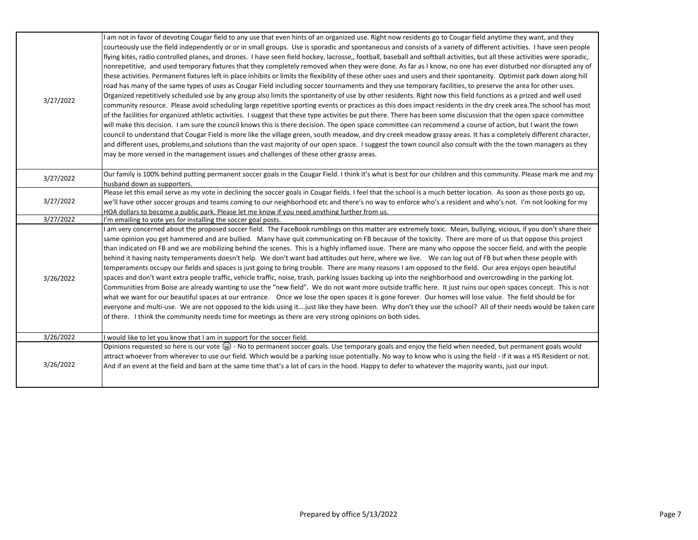| 3/27/2022 | am not in favor of devoting Cougar field to any use that even hints of an organized use. Right now residents go to Cougar field anytime they want, and they<br>courteously use the field independently or or in small groups. Use is sporadic and spontaneous and consists of a variety of different activities. I have seen people<br>flying kites, radio controlled planes, and drones. I have seen field hockey, lacrosse,, football, baseball and softball activities, but all these activities were sporadic,<br>nonrepetitive, and used temporary fixtures that they completely removed when they were done. As far as I know, no one has ever disturbed nor disrupted any of<br>these activities. Permanent fixtures left in place inhibits or limits the flexibility of these other uses and users and their spontaneity. Optimist park down along hill<br>road has many of the same types of uses as Cougar Field including soccer tournaments and they use temporary facilities, to preserve the area for other uses.<br>Organized repetitively scheduled use by any group also limits the spontaneity of use by other residents. Right now this field functions as a prized and well used<br>community resource. Please avoid scheduling large repetitive sporting events or practices as this does impact residents in the dry creek area. The school has most<br>of the facilities for organized athletic activities. I suggest that these type activites be put there. There has been some discussion that the open space committee<br>will make this decision. I am sure the council knows this is there decision. The open space committee can recommend a course of action, but I want the town<br>council to understand that Cougar Field is more like the village green, south meadow, and dry creek meadow grassy areas. It has a completely different character,<br>and different uses, problems, and solutions than the vast majority of our open space. I suggest the town council also consult with the the town managers as they<br>may be more versed in the management issues and challenges of these other grassy areas. |
|-----------|------------------------------------------------------------------------------------------------------------------------------------------------------------------------------------------------------------------------------------------------------------------------------------------------------------------------------------------------------------------------------------------------------------------------------------------------------------------------------------------------------------------------------------------------------------------------------------------------------------------------------------------------------------------------------------------------------------------------------------------------------------------------------------------------------------------------------------------------------------------------------------------------------------------------------------------------------------------------------------------------------------------------------------------------------------------------------------------------------------------------------------------------------------------------------------------------------------------------------------------------------------------------------------------------------------------------------------------------------------------------------------------------------------------------------------------------------------------------------------------------------------------------------------------------------------------------------------------------------------------------------------------------------------------------------------------------------------------------------------------------------------------------------------------------------------------------------------------------------------------------------------------------------------------------------------------------------------------------------------------------------------------------------------------------------------------------------------------------------------------------------------------------------|
| 3/27/2022 | Our family is 100% behind putting permanent soccer goals in the Cougar Field. I think it's what is best for our children and this community. Please mark me and my<br>husband down as supporters.                                                                                                                                                                                                                                                                                                                                                                                                                                                                                                                                                                                                                                                                                                                                                                                                                                                                                                                                                                                                                                                                                                                                                                                                                                                                                                                                                                                                                                                                                                                                                                                                                                                                                                                                                                                                                                                                                                                                                    |
| 3/27/2022 | Please let this email serve as my vote in declining the soccer goals in Cougar fields. I feel that the school is a much better location. As soon as those posts go up,<br>we'll have other soccer groups and teams coming to our neighborhood etc and there's no way to enforce who's a resident and who's not. I'm not looking for my<br>HOA dollars to become a public park. Please let me know if you need anything further from us.                                                                                                                                                                                                                                                                                                                                                                                                                                                                                                                                                                                                                                                                                                                                                                                                                                                                                                                                                                                                                                                                                                                                                                                                                                                                                                                                                                                                                                                                                                                                                                                                                                                                                                              |
| 3/27/2022 | I'm emailing to vote yes for installing the soccer goal posts.                                                                                                                                                                                                                                                                                                                                                                                                                                                                                                                                                                                                                                                                                                                                                                                                                                                                                                                                                                                                                                                                                                                                                                                                                                                                                                                                                                                                                                                                                                                                                                                                                                                                                                                                                                                                                                                                                                                                                                                                                                                                                       |
| 3/26/2022 | am very concerned about the proposed soccer field. The FaceBook rumblings on this matter are extremely toxic. Mean, bullying, vicious, if you don't share their<br>same opinion you get hammered and are bullied. Many have quit communicating on FB because of the toxicity. There are more of us that oppose this project<br>than indicated on FB and we are mobilizing behind the scenes. This is a highly inflamed issue. There are many who oppose the soccer field, and with the people<br>behind it having nasty temperaments doesn't help. We don't want bad attitudes out here, where we live. We can log out of FB but when these people with<br>temperaments occupy our fields and spaces is just going to bring trouble. There are many reasons I am opposed to the field. Our area enjoys open beautiful<br>spaces and don't want extra people traffic, vehicle traffic, noise, trash, parking issues backing up into the neighborhood and overcrowding in the parking lot.<br>Communities from Boise are already wanting to use the "new field". We do not want more outside traffic here. It just ruins our open spaces concept. This is not<br>what we want for our beautiful spaces at our entrance. Once we lose the open spaces it is gone forever. Our homes will lose value. The field should be for<br>everyone and multi-use. We are not opposed to the kids using it just like they have been. Why don't they use the school? All of their needs would be taken care<br>of there. I think the community needs time for meetings as there are very strong opinions on both sides.                                                                                                                                                                                                                                                                                                                                                                                                                                                                                                                                             |
| 3/26/2022 | would like to let you know that I am in support for the soccer field.                                                                                                                                                                                                                                                                                                                                                                                                                                                                                                                                                                                                                                                                                                                                                                                                                                                                                                                                                                                                                                                                                                                                                                                                                                                                                                                                                                                                                                                                                                                                                                                                                                                                                                                                                                                                                                                                                                                                                                                                                                                                                |
| 3/26/2022 | Opinions requested so here is our vote (a) - No to permanent soccer goals. Use temporary goals and enjoy the field when needed, but permanent goals would<br>attract whoever from wherever to use our field. Which would be a parking issue potentially. No way to know who is using the field - if it was a HS Resident or not.<br>And if an event at the field and barn at the same time that's a lot of cars in the hood. Happy to defer to whatever the majority wants, just our input.                                                                                                                                                                                                                                                                                                                                                                                                                                                                                                                                                                                                                                                                                                                                                                                                                                                                                                                                                                                                                                                                                                                                                                                                                                                                                                                                                                                                                                                                                                                                                                                                                                                          |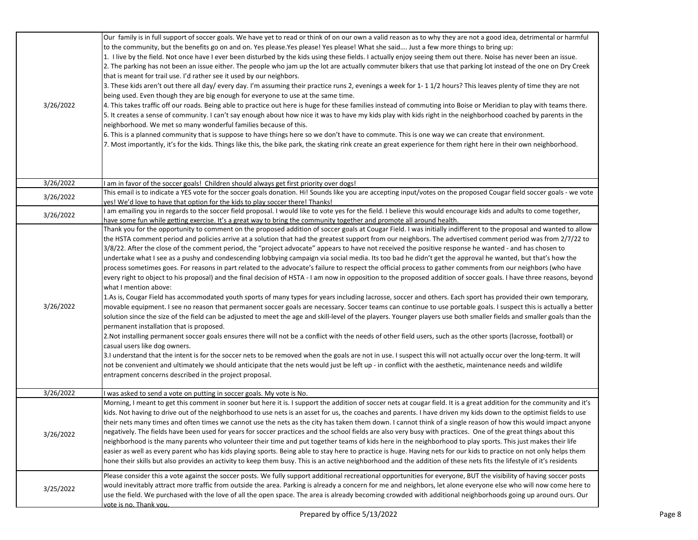| 3/26/2022 | Our family is in full support of soccer goals. We have yet to read or think of on our own a valid reason as to why they are not a good idea, detrimental or harmful<br>to the community, but the benefits go on and on. Yes please.Yes please! Yes please! What she said Just a few more things to bring up:<br>1. I live by the field. Not once have I ever been disturbed by the kids using these fields. I actually enjoy seeing them out there. Noise has never been an issue.<br>2. The parking has not been an issue either. The people who jam up the lot are actually commuter bikers that use that parking lot instead of the one on Dry Creek<br>that is meant for trail use. I'd rather see it used by our neighbors.<br>3. These kids aren't out there all day/ every day. I'm assuming their practice runs 2, evenings a week for 1-11/2 hours? This leaves plenty of time they are not<br>being used. Even though they are big enough for everyone to use at the same time.<br>4. This takes traffic off our roads. Being able to practice out here is huge for these families instead of commuting into Boise or Meridian to play with teams there.<br>5. It creates a sense of community. I can't say enough about how nice it was to have my kids play with kids right in the neighborhood coached by parents in the<br>neighborhood. We met so many wonderful families because of this.<br>6. This is a planned community that is suppose to have things here so we don't have to commute. This is one way we can create that environment.<br>7. Most importantly, it's for the kids. Things like this, the bike park, the skating rink create an great experience for them right here in their own neighborhood.                                                                                                                                                                                                                                                                                                                                                                                                                                                                    |
|-----------|--------------------------------------------------------------------------------------------------------------------------------------------------------------------------------------------------------------------------------------------------------------------------------------------------------------------------------------------------------------------------------------------------------------------------------------------------------------------------------------------------------------------------------------------------------------------------------------------------------------------------------------------------------------------------------------------------------------------------------------------------------------------------------------------------------------------------------------------------------------------------------------------------------------------------------------------------------------------------------------------------------------------------------------------------------------------------------------------------------------------------------------------------------------------------------------------------------------------------------------------------------------------------------------------------------------------------------------------------------------------------------------------------------------------------------------------------------------------------------------------------------------------------------------------------------------------------------------------------------------------------------------------------------------------------------------------------------------------------------------------------------------------------------------------------------------------------------------------------------------------------------------------------------------------------------------------------------------------------------------------------------------------------------------------------------------------------------------------------------------------------------------------------------------------------------------------------------|
| 3/26/2022 | am in favor of the soccer goals! Children should always get first priority over dogs!                                                                                                                                                                                                                                                                                                                                                                                                                                                                                                                                                                                                                                                                                                                                                                                                                                                                                                                                                                                                                                                                                                                                                                                                                                                                                                                                                                                                                                                                                                                                                                                                                                                                                                                                                                                                                                                                                                                                                                                                                                                                                                                  |
| 3/26/2022 | This email is to indicate a YES vote for the soccer goals donation. Hi! Sounds like you are accepting input/votes on the proposed Cougar field soccer goals - we vote<br>yes! We'd love to have that option for the kids to play soccer there! Thanks!                                                                                                                                                                                                                                                                                                                                                                                                                                                                                                                                                                                                                                                                                                                                                                                                                                                                                                                                                                                                                                                                                                                                                                                                                                                                                                                                                                                                                                                                                                                                                                                                                                                                                                                                                                                                                                                                                                                                                 |
| 3/26/2022 | am emailing you in regards to the soccer field proposal. I would like to vote yes for the field. I believe this would encourage kids and adults to come together,<br>have some fun while getting exercise. It's a great way to bring the community together and promote all around health.                                                                                                                                                                                                                                                                                                                                                                                                                                                                                                                                                                                                                                                                                                                                                                                                                                                                                                                                                                                                                                                                                                                                                                                                                                                                                                                                                                                                                                                                                                                                                                                                                                                                                                                                                                                                                                                                                                             |
| 3/26/2022 | Thank you for the opportunity to comment on the proposed addition of soccer goals at Cougar Field. I was initially indifferent to the proposal and wanted to allow<br>the HSTA comment period and policies arrive at a solution that had the greatest support from our neighbors. The advertised comment period was from 2/7/22 to<br>3/8/22. After the close of the comment period, the "project advocate" appears to have not received the positive response he wanted - and has chosen to<br>undertake what I see as a pushy and condescending lobbying campaign via social media. Its too bad he didn't get the approval he wanted, but that's how the<br>process sometimes goes. For reasons in part related to the advocate's failure to respect the official process to gather comments from our neighbors (who have<br>every right to object to his proposal) and the final decision of HSTA - I am now in opposition to the proposed addition of soccer goals. I have three reasons, beyond<br>what I mention above:<br>1.As is, Cougar Field has accommodated youth sports of many types for years including lacrosse, soccer and others. Each sport has provided their own temporary,<br>movable equipment. I see no reason that permanent soccer goals are necessary. Soccer teams can continue to use portable goals. I suspect this is actually a better<br>solution since the size of the field can be adjusted to meet the age and skill-level of the players. Younger players use both smaller fields and smaller goals than the<br>permanent installation that is proposed.<br>2. Not installing permanent soccer goals ensures there will not be a conflict with the needs of other field users, such as the other sports (lacrosse, football) or<br>casual users like dog owners.<br>3.I understand that the intent is for the soccer nets to be removed when the goals are not in use. I suspect this will not actually occur over the long-term. It will<br>not be convenient and ultimately we should anticipate that the nets would just be left up - in conflict with the aesthetic, maintenance needs and wildlife<br>entrapment concerns described in the project proposal. |
| 3/26/2022 | was asked to send a vote on putting in soccer goals. My vote is No.                                                                                                                                                                                                                                                                                                                                                                                                                                                                                                                                                                                                                                                                                                                                                                                                                                                                                                                                                                                                                                                                                                                                                                                                                                                                                                                                                                                                                                                                                                                                                                                                                                                                                                                                                                                                                                                                                                                                                                                                                                                                                                                                    |
| 3/26/2022 | Morning, I meant to get this comment in sooner but here it is. I support the addition of soccer nets at cougar field. It is a great addition for the community and it's<br>kids. Not having to drive out of the neighborhood to use nets is an asset for us, the coaches and parents. I have driven my kids down to the optimist fields to use<br>their nets many times and often times we cannot use the nets as the city has taken them down. I cannot think of a single reason of how this would impact anyone<br>negatively. The fields have been used for years for soccer practices and the school fields are also very busy with practices. One of the great things about this<br>neighborhood is the many parents who volunteer their time and put together teams of kids here in the neighborhood to play sports. This just makes their life<br>easier as well as every parent who has kids playing sports. Being able to stay here to practice is huge. Having nets for our kids to practice on not only helps them<br>hone their skills but also provides an activity to keep them busy. This is an active neighborhood and the addition of these nets fits the lifestyle of it's residents                                                                                                                                                                                                                                                                                                                                                                                                                                                                                                                                                                                                                                                                                                                                                                                                                                                                                                                                                                                                 |
| 3/25/2022 | Please consider this a vote against the soccer posts. We fully support additional recreational opportunities for everyone, BUT the visibility of having soccer posts<br>would inevitably attract more traffic from outside the area. Parking is already a concern for me and neighbors, let alone everyone else who will now come here to<br>use the field. We purchased with the love of all the open space. The area is already becoming crowded with additional neighborhoods going up around ours. Our<br>vote is no. Thank vou.                                                                                                                                                                                                                                                                                                                                                                                                                                                                                                                                                                                                                                                                                                                                                                                                                                                                                                                                                                                                                                                                                                                                                                                                                                                                                                                                                                                                                                                                                                                                                                                                                                                                   |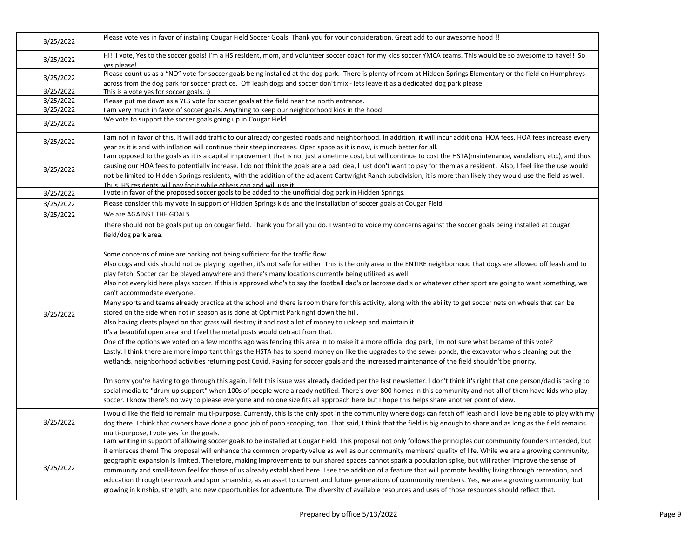| 3/25/2022 | Please vote yes in favor of instaling Cougar Field Soccer Goals Thank you for your consideration. Great add to our awesome hood !!                                                                                                                                                                                                                                                                                                                                                                                                                                                                                                                                                                                                                                                                                                                                                                                                                                                                                                                                                                                                                                                                                                                                                                                                                                                                                                                                                                                                                                                                                                                                                                                                                                                                                                                                                                                                                                                                                                                                                                                                                                                              |
|-----------|-------------------------------------------------------------------------------------------------------------------------------------------------------------------------------------------------------------------------------------------------------------------------------------------------------------------------------------------------------------------------------------------------------------------------------------------------------------------------------------------------------------------------------------------------------------------------------------------------------------------------------------------------------------------------------------------------------------------------------------------------------------------------------------------------------------------------------------------------------------------------------------------------------------------------------------------------------------------------------------------------------------------------------------------------------------------------------------------------------------------------------------------------------------------------------------------------------------------------------------------------------------------------------------------------------------------------------------------------------------------------------------------------------------------------------------------------------------------------------------------------------------------------------------------------------------------------------------------------------------------------------------------------------------------------------------------------------------------------------------------------------------------------------------------------------------------------------------------------------------------------------------------------------------------------------------------------------------------------------------------------------------------------------------------------------------------------------------------------------------------------------------------------------------------------------------------------|
| 3/25/2022 | Hi! I vote, Yes to the soccer goals! I'm a HS resident, mom, and volunteer soccer coach for my kids soccer YMCA teams. This would be so awesome to have!! So<br>ves please!                                                                                                                                                                                                                                                                                                                                                                                                                                                                                                                                                                                                                                                                                                                                                                                                                                                                                                                                                                                                                                                                                                                                                                                                                                                                                                                                                                                                                                                                                                                                                                                                                                                                                                                                                                                                                                                                                                                                                                                                                     |
| 3/25/2022 | Please count us as a "NO" vote for soccer goals being installed at the dog park. There is plenty of room at Hidden Springs Elementary or the field on Humphreys<br>across from the dog park for soccer practice. Off leash dogs and soccer don't mix - lets leave it as a dedicated dog park please.                                                                                                                                                                                                                                                                                                                                                                                                                                                                                                                                                                                                                                                                                                                                                                                                                                                                                                                                                                                                                                                                                                                                                                                                                                                                                                                                                                                                                                                                                                                                                                                                                                                                                                                                                                                                                                                                                            |
| 3/25/2022 | This is a vote yes for soccer goals. :)                                                                                                                                                                                                                                                                                                                                                                                                                                                                                                                                                                                                                                                                                                                                                                                                                                                                                                                                                                                                                                                                                                                                                                                                                                                                                                                                                                                                                                                                                                                                                                                                                                                                                                                                                                                                                                                                                                                                                                                                                                                                                                                                                         |
| 3/25/2022 | Please put me down as a YES vote for soccer goals at the field near the north entrance.                                                                                                                                                                                                                                                                                                                                                                                                                                                                                                                                                                                                                                                                                                                                                                                                                                                                                                                                                                                                                                                                                                                                                                                                                                                                                                                                                                                                                                                                                                                                                                                                                                                                                                                                                                                                                                                                                                                                                                                                                                                                                                         |
| 3/25/2022 | am very much in favor of soccer goals. Anything to keep our neighborhood kids in the hood.                                                                                                                                                                                                                                                                                                                                                                                                                                                                                                                                                                                                                                                                                                                                                                                                                                                                                                                                                                                                                                                                                                                                                                                                                                                                                                                                                                                                                                                                                                                                                                                                                                                                                                                                                                                                                                                                                                                                                                                                                                                                                                      |
| 3/25/2022 | We vote to support the soccer goals going up in Cougar Field.                                                                                                                                                                                                                                                                                                                                                                                                                                                                                                                                                                                                                                                                                                                                                                                                                                                                                                                                                                                                                                                                                                                                                                                                                                                                                                                                                                                                                                                                                                                                                                                                                                                                                                                                                                                                                                                                                                                                                                                                                                                                                                                                   |
| 3/25/2022 | am not in favor of this. It will add traffic to our already congested roads and neighborhood. In addition, it will incur additional HOA fees. HOA fees increase every<br>year as it is and with inflation will continue their steep increases. Open space as it is now, is much better for all.                                                                                                                                                                                                                                                                                                                                                                                                                                                                                                                                                                                                                                                                                                                                                                                                                                                                                                                                                                                                                                                                                                                                                                                                                                                                                                                                                                                                                                                                                                                                                                                                                                                                                                                                                                                                                                                                                                 |
| 3/25/2022 | am opposed to the goals as it is a capital improvement that is not just a onetime cost, but will continue to cost the HSTA(maintenance, vandalism, etc.), and thus<br>causing our HOA fees to potentially increase. I do not think the goals are a bad idea, I just don't want to pay for them as a resident. Also, I feel like the use would<br>not be limited to Hidden Springs residents, with the addition of the adjacent Cartwright Ranch subdivision, it is more than likely they would use the field as well.<br>Thus. HS residents will nay for it while others can and will use it.                                                                                                                                                                                                                                                                                                                                                                                                                                                                                                                                                                                                                                                                                                                                                                                                                                                                                                                                                                                                                                                                                                                                                                                                                                                                                                                                                                                                                                                                                                                                                                                                   |
| 3/25/2022 | vote in favor of the proposed soccer goals to be added to the unofficial dog park in Hidden Springs.                                                                                                                                                                                                                                                                                                                                                                                                                                                                                                                                                                                                                                                                                                                                                                                                                                                                                                                                                                                                                                                                                                                                                                                                                                                                                                                                                                                                                                                                                                                                                                                                                                                                                                                                                                                                                                                                                                                                                                                                                                                                                            |
| 3/25/2022 | Please consider this my vote in support of Hidden Springs kids and the installation of soccer goals at Cougar Field                                                                                                                                                                                                                                                                                                                                                                                                                                                                                                                                                                                                                                                                                                                                                                                                                                                                                                                                                                                                                                                                                                                                                                                                                                                                                                                                                                                                                                                                                                                                                                                                                                                                                                                                                                                                                                                                                                                                                                                                                                                                             |
| 3/25/2022 | We are AGAINST THE GOALS.                                                                                                                                                                                                                                                                                                                                                                                                                                                                                                                                                                                                                                                                                                                                                                                                                                                                                                                                                                                                                                                                                                                                                                                                                                                                                                                                                                                                                                                                                                                                                                                                                                                                                                                                                                                                                                                                                                                                                                                                                                                                                                                                                                       |
| 3/25/2022 | There should not be goals put up on cougar field. Thank you for all you do. I wanted to voice my concerns against the soccer goals being installed at cougar<br>field/dog park area.<br>Some concerns of mine are parking not being sufficient for the traffic flow.<br>Also dogs and kids should not be playing together, it's not safe for either. This is the only area in the ENTIRE neighborhood that dogs are allowed off leash and to<br>play fetch. Soccer can be played anywhere and there's many locations currently being utilized as well.<br>Also not every kid here plays soccer. If this is approved who's to say the football dad's or lacrosse dad's or whatever other sport are going to want something, we<br>can't accommodate everyone.<br>Many sports and teams already practice at the school and there is room there for this activity, along with the ability to get soccer nets on wheels that can be<br>stored on the side when not in season as is done at Optimist Park right down the hill.<br>Also having cleats played on that grass will destroy it and cost a lot of money to upkeep and maintain it.<br>It's a beautiful open area and I feel the metal posts would detract from that.<br>One of the options we voted on a few months ago was fencing this area in to make it a more official dog park, I'm not sure what became of this vote?<br>Lastly, I think there are more important things the HSTA has to spend money on like the upgrades to the sewer ponds, the excavator who's cleaning out the<br>wetlands, neighborhood activities returning post Covid. Paying for soccer goals and the increased maintenance of the field shouldn't be priority.<br>I'm sorry you're having to go through this again. I felt this issue was already decided per the last newsletter. I don't think it's right that one person/dad is taking to<br>social media to "drum up support" when 100s of people were already notified. There's over 800 homes in this community and not all of them have kids who play<br>soccer. I know there's no way to please everyone and no one size fits all approach here but I hope this helps share another point of view. |
| 3/25/2022 | would like the field to remain multi-purpose. Currently, this is the only spot in the community where dogs can fetch off leash and I love being able to play with my<br>dog there. I think that owners have done a good job of poop scooping, too. That said, I think that the field is big enough to share and as long as the field remains<br>multi-purpose. I vote yes for the goals.                                                                                                                                                                                                                                                                                                                                                                                                                                                                                                                                                                                                                                                                                                                                                                                                                                                                                                                                                                                                                                                                                                                                                                                                                                                                                                                                                                                                                                                                                                                                                                                                                                                                                                                                                                                                        |
| 3/25/2022 | I am writing in support of allowing soccer goals to be installed at Cougar Field. This proposal not only follows the principles our community founders intended, but<br>it embraces them! The proposal will enhance the common property value as well as our community members' quality of life. While we are a growing community,<br>geographic expansion is limited. Therefore, making improvements to our shared spaces cannot spark a population spike, but will rather improve the sense of<br>community and small-town feel for those of us already established here. I see the addition of a feature that will promote healthy living through recreation, and<br>education through teamwork and sportsmanship, as an asset to current and future generations of community members. Yes, we are a growing community, but<br>growing in kinship, strength, and new opportunities for adventure. The diversity of available resources and uses of those resources should reflect that.                                                                                                                                                                                                                                                                                                                                                                                                                                                                                                                                                                                                                                                                                                                                                                                                                                                                                                                                                                                                                                                                                                                                                                                                      |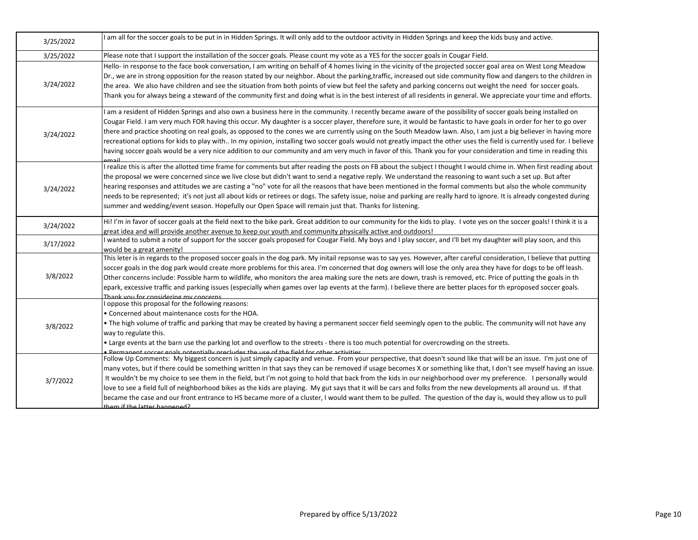| 3/25/2022 | am all for the soccer goals to be put in in Hidden Springs. It will only add to the outdoor activity in Hidden Springs and keep the kids busy and active.                                                                                                                                                                                                                                                                                                                                                                                                                                                                                                                                                                                                                                                                                                                          |
|-----------|------------------------------------------------------------------------------------------------------------------------------------------------------------------------------------------------------------------------------------------------------------------------------------------------------------------------------------------------------------------------------------------------------------------------------------------------------------------------------------------------------------------------------------------------------------------------------------------------------------------------------------------------------------------------------------------------------------------------------------------------------------------------------------------------------------------------------------------------------------------------------------|
| 3/25/2022 | Please note that I support the installation of the soccer goals. Please count my vote as a YES for the soccer goals in Cougar Field.                                                                                                                                                                                                                                                                                                                                                                                                                                                                                                                                                                                                                                                                                                                                               |
| 3/24/2022 | Hello- in response to the face book conversation, I am writing on behalf of 4 homes living in the vicinity of the projected soccer goal area on West Long Meadow<br>Dr., we are in strong opposition for the reason stated by our neighbor. About the parking,traffic, increased out side community flow and dangers to the children in<br>the area. We also have children and see the situation from both points of view but feel the safety and parking concerns out weight the need for soccer goals.<br>Thank you for always being a steward of the community first and doing what is in the best interest of all residents in general. We appreciate your time and efforts.                                                                                                                                                                                                   |
| 3/24/2022 | am a resident of Hidden Springs and also own a business here in the community. I recently became aware of the possibility of soccer goals being installed on<br>Cougar Field. I am very much FOR having this occur. My daughter is a soccer player, therefore sure, it would be fantastic to have goals in order for her to go over<br>there and practice shooting on real goals, as opposed to the cones we are currently using on the South Meadow lawn. Also, I am just a big believer in having more<br>recreational options for kids to play with In my opinion, installing two soccer goals would not greatly impact the other uses the field is currently used for. I believe<br>having soccer goals would be a very nice addition to our community and am very much in favor of this. Thank you for your consideration and time in reading this                            |
| 3/24/2022 | I realize this is after the allotted time frame for comments but after reading the posts on FB about the subject I thought I would chime in. When first reading about<br>the proposal we were concerned since we live close but didn't want to send a negative reply. We understand the reasoning to want such a set up. But after<br>hearing responses and attitudes we are casting a "no" vote for all the reasons that have been mentioned in the formal comments but also the whole community<br>needs to be represented; it's not just all about kids or retirees or dogs. The safety issue, noise and parking are really hard to ignore. It is already congested during<br>summer and wedding/event season. Hopefully our Open Space will remain just that. Thanks for listening.                                                                                            |
| 3/24/2022 | Hi! I'm in favor of soccer goals at the field next to the bike park. Great addition to our community for the kids to play. I vote yes on the soccer goals! I think it is a<br>great idea and will provide another avenue to keep our youth and community physically active and outdoors!                                                                                                                                                                                                                                                                                                                                                                                                                                                                                                                                                                                           |
| 3/17/2022 | wanted to submit a note of support for the soccer goals proposed for Cougar Field. My boys and I play soccer, and I'll bet my daughter will play soon, and this<br>would be a great amenity!                                                                                                                                                                                                                                                                                                                                                                                                                                                                                                                                                                                                                                                                                       |
| 3/8/2022  | This leter is in regards to the proposed soccer goals in the dog park. My initail repsonse was to say yes. However, after careful consideration, I believe that putting<br>soccer goals in the dog park would create more problems for this area. I'm concerned that dog owners will lose the only area they have for dogs to be off leash.<br>Other concerns include: Possible harm to wildlife, who monitors the area making sure the nets are down, trash is removed, etc. Price of putting the goals in th<br>epark, excessive traffic and parking issues (especially when games over lap events at the farm). I believe there are better places for th eproposed soccer goals.<br>Thank you for considering my concerns                                                                                                                                                       |
| 3/8/2022  | oppose this proposal for the following reasons:<br>• Concerned about maintenance costs for the HOA.<br>• The high volume of traffic and parking that may be created by having a permanent soccer field seemingly open to the public. The community will not have any<br>way to regulate this.<br>. Large events at the barn use the parking lot and overflow to the streets - there is too much potential for overcrowding on the streets.<br>. Permanent soccer goals notentially precludes the use of the field for other activities                                                                                                                                                                                                                                                                                                                                             |
| 3/7/2022  | Follow Up Comments: My biggest concern is just simply capacity and venue. From your perspective, that doesn't sound like that will be an issue. I'm just one of<br>many votes, but if there could be something written in that says they can be removed if usage becomes X or something like that, I don't see myself having an issue.<br>It wouldn't be my choice to see them in the field, but I'm not going to hold that back from the kids in our neighborhood over my preference. I personally would<br>love to see a field full of neighborhood bikes as the kids are playing. My gut says that it will be cars and folks from the new developments all around us. If that<br>became the case and our front entrance to HS became more of a cluster, I would want them to be pulled. The question of the day is, would they allow us to pull<br>thom if the latter hannened? |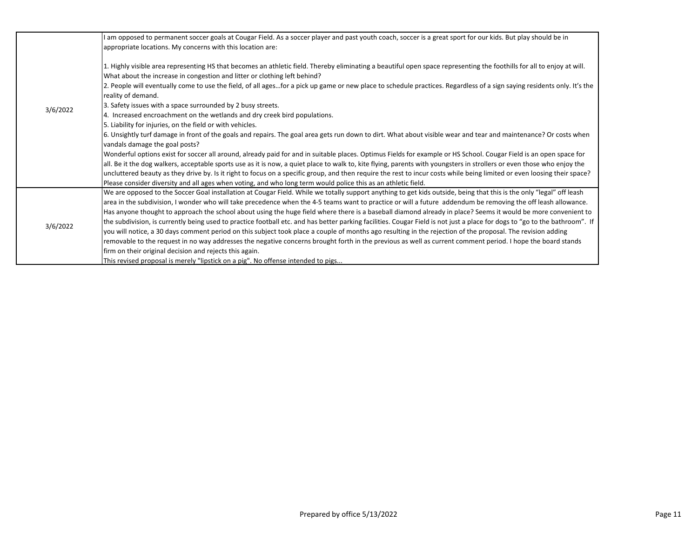|          | am opposed to permanent soccer goals at Cougar Field. As a soccer player and past youth coach, soccer is a great sport for our kids. But play should be in                                                                                                                                                                                                                                                                                                                                                                                                                                                                                                    |
|----------|---------------------------------------------------------------------------------------------------------------------------------------------------------------------------------------------------------------------------------------------------------------------------------------------------------------------------------------------------------------------------------------------------------------------------------------------------------------------------------------------------------------------------------------------------------------------------------------------------------------------------------------------------------------|
| 3/6/2022 | appropriate locations. My concerns with this location are:                                                                                                                                                                                                                                                                                                                                                                                                                                                                                                                                                                                                    |
|          | 1. Highly visible area representing HS that becomes an athletic field. Thereby eliminating a beautiful open space representing the foothills for all to enjoy at will.<br>What about the increase in congestion and litter or clothing left behind?<br>2. People will eventually come to use the field, of all agesfor a pick up game or new place to schedule practices. Regardless of a sign saying residents only. It's the<br>reality of demand.<br>3. Safety issues with a space surrounded by 2 busy streets.<br>4. Increased encroachment on the wetlands and dry creek bird populations.<br>5. Liability for injuries, on the field or with vehicles. |
|          | 6. Unsightly turf damage in front of the goals and repairs. The goal area gets run down to dirt. What about visible wear and tear and maintenance? Or costs when<br>vandals damage the goal posts?                                                                                                                                                                                                                                                                                                                                                                                                                                                            |
|          | Wonderful options exist for soccer all around, already paid for and in suitable places. Optimus Fields for example or HS School. Cougar Field is an open space for                                                                                                                                                                                                                                                                                                                                                                                                                                                                                            |
|          | all. Be it the dog walkers, acceptable sports use as it is now, a quiet place to walk to, kite flying, parents with youngsters in strollers or even those who enjoy the                                                                                                                                                                                                                                                                                                                                                                                                                                                                                       |
|          | uncluttered beauty as they drive by. Is it right to focus on a specific group, and then require the rest to incur costs while being limited or even loosing their space?                                                                                                                                                                                                                                                                                                                                                                                                                                                                                      |
|          | Please consider diversity and all ages when voting, and who long term would police this as an athletic field.                                                                                                                                                                                                                                                                                                                                                                                                                                                                                                                                                 |
|          | We are opposed to the Soccer Goal installation at Cougar Field. While we totally support anything to get kids outside, being that this is the only "legal" off leash                                                                                                                                                                                                                                                                                                                                                                                                                                                                                          |
|          | area in the subdivision, I wonder who will take precedence when the 4-5 teams want to practice or will a future addendum be removing the off leash allowance.                                                                                                                                                                                                                                                                                                                                                                                                                                                                                                 |
| 3/6/2022 | Has anyone thought to approach the school about using the huge field where there is a baseball diamond already in place? Seems it would be more convenient to                                                                                                                                                                                                                                                                                                                                                                                                                                                                                                 |
|          | the subdivision, is currently being used to practice football etc. and has better parking facilities. Cougar Field is not just a place for dogs to "go to the bathroom". If                                                                                                                                                                                                                                                                                                                                                                                                                                                                                   |
|          | you will notice, a 30 days comment period on this subject took place a couple of months ago resulting in the rejection of the proposal. The revision adding                                                                                                                                                                                                                                                                                                                                                                                                                                                                                                   |
|          | removable to the request in no way addresses the negative concerns brought forth in the previous as well as current comment period. I hope the board stands                                                                                                                                                                                                                                                                                                                                                                                                                                                                                                   |
|          | firm on their original decision and rejects this again.                                                                                                                                                                                                                                                                                                                                                                                                                                                                                                                                                                                                       |
|          | This revised proposal is merely "lipstick on a pig". No offense intended to pigs                                                                                                                                                                                                                                                                                                                                                                                                                                                                                                                                                                              |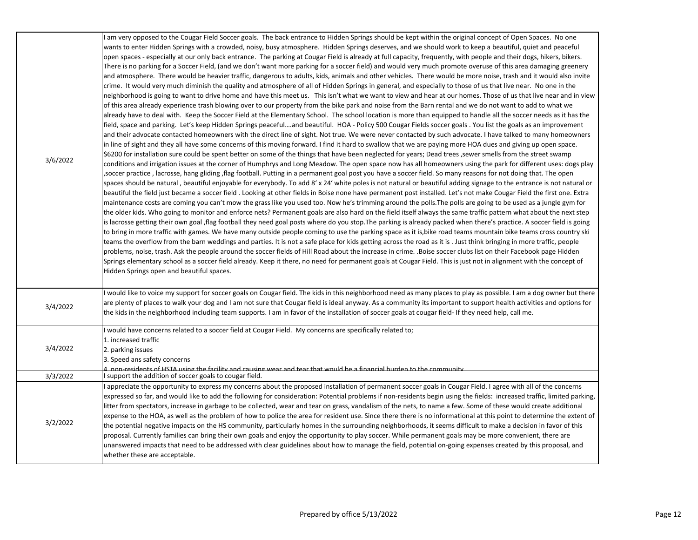| 3/6/2022 | wants to enter Hidden Springs with a crowded, noisy, busy atmosphere. Hidden Springs deserves, and we should work to keep a beautiful, quiet and peaceful<br>open spaces - especially at our only back entrance. The parking at Cougar Field is already at full capacity, frequently, with people and their dogs, hikers, bikers.<br>There is no parking for a Soccer Field, (and we don't want more parking for a soccer field) and would very much promote overuse of this area damaging greenery<br>and atmosphere. There would be heavier traffic, dangerous to adults, kids, animals and other vehicles. There would be more noise, trash and it would also invite<br>crime. It would very much diminish the quality and atmosphere of all of Hidden Springs in general, and especially to those of us that live near. No one in the<br>neighborhood is going to want to drive home and have this meet us. This isn't what we want to view and hear at our homes. Those of us that live near and in view<br>of this area already experience trash blowing over to our property from the bike park and noise from the Barn rental and we do not want to add to what we<br>already have to deal with. Keep the Soccer Field at the Elementary School. The school location is more than equipped to handle all the soccer needs as it has the<br>field, space and parking. Let's keep Hidden Springs peacefuland beautiful. HOA - Policy 500 Cougar Fields soccer goals . You list the goals as an improvement<br>and their advocate contacted homeowners with the direct line of sight. Not true. We were never contacted by such advocate. I have talked to many homeowners<br>in line of sight and they all have some concerns of this moving forward. I find it hard to swallow that we are paying more HOA dues and giving up open space.<br>\$6200 for installation sure could be spent better on some of the things that have been neglected for years; Dead trees ,sewer smells from the street swamp<br>conditions and irrigation issues at the corner of Humphrys and Long Meadow. The open space now has all homeowners using the park for different uses: dogs play<br>soccer practice , lacrosse, hang gliding ,flag football. Putting in a permanent goal post you have a soccer field. So many reasons for not doing that. The open<br>spaces should be natural, beautiful enjoyable for everybody. To add 8' x 24' white poles is not natural or beautiful adding signage to the entrance is not natural or<br>beautiful the field just became a soccer field. Looking at other fields in Boise none have permanent post installed. Let's not make Cougar Field the first one. Extra<br>maintenance costs are coming you can't mow the grass like you used too. Now he's trimming around the polls. The polls are going to be used as a jungle gym for<br>the older kids. Who going to monitor and enforce nets? Permanent goals are also hard on the field itself always the same traffic pattern what about the next step<br>is lacrosse getting their own goal ,flag football they need goal posts where do you stop.The parking is already packed when there's practice. A soccer field is going<br>to bring in more traffic with games. We have many outside people coming to use the parking space as it is,bike road teams mountain bike teams cross country ski<br>teams the overflow from the barn weddings and parties. It is not a safe place for kids getting across the road as it is . Just think bringing in more traffic, people<br>problems, noise, trash. Ask the people around the soccer fields of Hill Road about the increase in crime. Boise soccer clubs list on their Facebook page Hidden<br>Springs elementary school as a soccer field already. Keep it there, no need for permanent goals at Cougar Field. This is just not in alignment with the concept of<br>Hidden Springs open and beautiful spaces. |
|----------|----------------------------------------------------------------------------------------------------------------------------------------------------------------------------------------------------------------------------------------------------------------------------------------------------------------------------------------------------------------------------------------------------------------------------------------------------------------------------------------------------------------------------------------------------------------------------------------------------------------------------------------------------------------------------------------------------------------------------------------------------------------------------------------------------------------------------------------------------------------------------------------------------------------------------------------------------------------------------------------------------------------------------------------------------------------------------------------------------------------------------------------------------------------------------------------------------------------------------------------------------------------------------------------------------------------------------------------------------------------------------------------------------------------------------------------------------------------------------------------------------------------------------------------------------------------------------------------------------------------------------------------------------------------------------------------------------------------------------------------------------------------------------------------------------------------------------------------------------------------------------------------------------------------------------------------------------------------------------------------------------------------------------------------------------------------------------------------------------------------------------------------------------------------------------------------------------------------------------------------------------------------------------------------------------------------------------------------------------------------------------------------------------------------------------------------------------------------------------------------------------------------------------------------------------------------------------------------------------------------------------------------------------------------------------------------------------------------------------------------------------------------------------------------------------------------------------------------------------------------------------------------------------------------------------------------------------------------------------------------------------------------------------------------------------------------------------------------------------------------------------------------------------------------------------------------------------------------------------------------------------------------------------------------------------------------------------------------------------------------------------------------------------------------------------------------------------------------------------------------------------------------------------------------------------------------------------------------------------------------------------------------------------------------------------------------------------------------------------------------------------------------------------------------------------------------------------------------------------------------------------------------------------------------------------------------------------------|
| 3/4/2022 | would like to voice my support for soccer goals on Cougar field. The kids in this neighborhood need as many places to play as possible. I am a dog owner but there<br>are plenty of places to walk your dog and I am not sure that Cougar field is ideal anyway. As a community its important to support health activities and options for<br>the kids in the neighborhood including team supports. I am in favor of the installation of soccer goals at cougar field- If they need help, call me.                                                                                                                                                                                                                                                                                                                                                                                                                                                                                                                                                                                                                                                                                                                                                                                                                                                                                                                                                                                                                                                                                                                                                                                                                                                                                                                                                                                                                                                                                                                                                                                                                                                                                                                                                                                                                                                                                                                                                                                                                                                                                                                                                                                                                                                                                                                                                                                                                                                                                                                                                                                                                                                                                                                                                                                                                                                                                                                                                                                                                                                                                                                                                                                                                                                                                                                                                                                                                                                       |
| 3/4/2022 | would have concerns related to a soccer field at Cougar Field. My concerns are specifically related to;<br>1. increased traffic<br>2. parking issues<br>3. Speed ans safety concerns<br>non-residents of HSTA using the facility and causing wear and tear that would he a financial burden to the community                                                                                                                                                                                                                                                                                                                                                                                                                                                                                                                                                                                                                                                                                                                                                                                                                                                                                                                                                                                                                                                                                                                                                                                                                                                                                                                                                                                                                                                                                                                                                                                                                                                                                                                                                                                                                                                                                                                                                                                                                                                                                                                                                                                                                                                                                                                                                                                                                                                                                                                                                                                                                                                                                                                                                                                                                                                                                                                                                                                                                                                                                                                                                                                                                                                                                                                                                                                                                                                                                                                                                                                                                                             |
| 3/3/2022 | support the addition of soccer goals to cougar field.                                                                                                                                                                                                                                                                                                                                                                                                                                                                                                                                                                                                                                                                                                                                                                                                                                                                                                                                                                                                                                                                                                                                                                                                                                                                                                                                                                                                                                                                                                                                                                                                                                                                                                                                                                                                                                                                                                                                                                                                                                                                                                                                                                                                                                                                                                                                                                                                                                                                                                                                                                                                                                                                                                                                                                                                                                                                                                                                                                                                                                                                                                                                                                                                                                                                                                                                                                                                                                                                                                                                                                                                                                                                                                                                                                                                                                                                                                    |
| 3/2/2022 | appreciate the opportunity to express my concerns about the proposed installation of permanent soccer goals in Cougar Field. I agree with all of the concerns<br>expressed so far, and would like to add the following for consideration: Potential problems if non-residents begin using the fields: increased traffic, limited parking,<br>litter from spectators, increase in garbage to be collected, wear and tear on grass, vandalism of the nets, to name a few. Some of these would create additional<br>expense to the HOA, as well as the problem of how to police the area for resident use. Since there there is no informational at this point to determine the extent of<br>the potential negative impacts on the HS community, particularly homes in the surrounding neighborhoods, it seems difficult to make a decision in favor of this<br>proposal. Currently families can bring their own goals and enjoy the opportunity to play soccer. While permanent goals may be more convenient, there are<br>unanswered impacts that need to be addressed with clear guidelines about how to manage the field, potential on-going expenses created by this proposal, and<br>whether these are acceptable.                                                                                                                                                                                                                                                                                                                                                                                                                                                                                                                                                                                                                                                                                                                                                                                                                                                                                                                                                                                                                                                                                                                                                                                                                                                                                                                                                                                                                                                                                                                                                                                                                                                                                                                                                                                                                                                                                                                                                                                                                                                                                                                                                                                                                                                                                                                                                                                                                                                                                                                                                                                                                                                                                                                                    |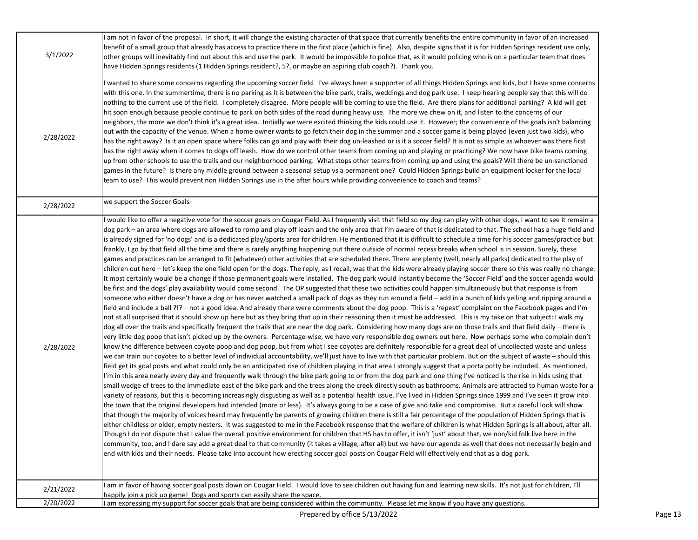| 3/1/2022  | am not in favor of the proposal. In short, it will change the existing character of that space that currently benefits the entire community in favor of an increased<br>benefit of a small group that already has access to practice there in the first place (which is fine). Also, despite signs that it is for Hidden Springs resident use only,<br>other groups will inevitably find out about this and use the park. It would be impossible to police that, as it would policing who is on a particular team that does<br>have Hidden Springs residents (1 Hidden Springs resident?, 5?, or maybe an aspiring club coach?). Thank you.                                                                                                                                                                                                                                                                                                                                                                                                                                                                                                                                                                                                                                                                                                                                                                                                                                                                                                                                                                                                                                                                                                                                                                                                                                                                                                                                                                                                                                                                                                                                                                                                                                                                                                                                                                                                                                                                                                                                                                                                                                                                                                                                                                                                                                                                                                                                                                                                                                                                                                                                                                                                                                                                                                                                                                                                                                                                                                                                                                                                                                                                                                                                                                                                                                                                                                                                                                                                                                                                                                                                                                                                                                                                          |
|-----------|----------------------------------------------------------------------------------------------------------------------------------------------------------------------------------------------------------------------------------------------------------------------------------------------------------------------------------------------------------------------------------------------------------------------------------------------------------------------------------------------------------------------------------------------------------------------------------------------------------------------------------------------------------------------------------------------------------------------------------------------------------------------------------------------------------------------------------------------------------------------------------------------------------------------------------------------------------------------------------------------------------------------------------------------------------------------------------------------------------------------------------------------------------------------------------------------------------------------------------------------------------------------------------------------------------------------------------------------------------------------------------------------------------------------------------------------------------------------------------------------------------------------------------------------------------------------------------------------------------------------------------------------------------------------------------------------------------------------------------------------------------------------------------------------------------------------------------------------------------------------------------------------------------------------------------------------------------------------------------------------------------------------------------------------------------------------------------------------------------------------------------------------------------------------------------------------------------------------------------------------------------------------------------------------------------------------------------------------------------------------------------------------------------------------------------------------------------------------------------------------------------------------------------------------------------------------------------------------------------------------------------------------------------------------------------------------------------------------------------------------------------------------------------------------------------------------------------------------------------------------------------------------------------------------------------------------------------------------------------------------------------------------------------------------------------------------------------------------------------------------------------------------------------------------------------------------------------------------------------------------------------------------------------------------------------------------------------------------------------------------------------------------------------------------------------------------------------------------------------------------------------------------------------------------------------------------------------------------------------------------------------------------------------------------------------------------------------------------------------------------------------------------------------------------------------------------------------------------------------------------------------------------------------------------------------------------------------------------------------------------------------------------------------------------------------------------------------------------------------------------------------------------------------------------------------------------------------------------------------------------------------------------------------------------------------------------|
| 2/28/2022 | wanted to share some concerns regarding the upcoming soccer field. I've always been a supporter of all things Hidden Springs and kids, but I have some concerns<br>with this one. In the summertime, there is no parking as it is between the bike park, trails, weddings and dog park use. I keep hearing people say that this will do<br>nothing to the current use of the field. I completely disagree. More people will be coming to use the field. Are there plans for additional parking? A kid will get<br>hit soon enough because people continue to park on both sides of the road during heavy use. The more we chew on it, and listen to the concerns of our<br>neighbors, the more we don't think it's a great idea. Initially we were excited thinking the kids could use it. However; the convenience of the goals isn't balancing<br>out with the capacity of the venue. When a home owner wants to go fetch their dog in the summer and a soccer game is being played (even just two kids), who<br>has the right away? Is it an open space where folks can go and play with their dog un-leashed or is it a soccer field? It is not as simple as whoever was there first<br>has the right away when it comes to dogs off leash. How do we control other teams from coming up and playing or practicing? We now have bike teams coming<br>up from other schools to use the trails and our neighborhood parking. What stops other teams from coming up and using the goals? Will there be un-sanctioned<br>games in the future? Is there any middle ground between a seasonal setup vs a permanent one? Could Hidden Springs build an equipment locker for the local<br>team to use? This would prevent non Hidden Springs use in the after hours while providing convenience to coach and teams?                                                                                                                                                                                                                                                                                                                                                                                                                                                                                                                                                                                                                                                                                                                                                                                                                                                                                                                                                                                                                                                                                                                                                                                                                                                                                                                                                                                                                                                                                                                                                                                                                                                                                                                                                                                                                                                                                                                                                                                                                                                                                                                                                                                                                                                                                                                                                                                                                                                                                                      |
| 2/28/2022 | we support the Soccer Goals-                                                                                                                                                                                                                                                                                                                                                                                                                                                                                                                                                                                                                                                                                                                                                                                                                                                                                                                                                                                                                                                                                                                                                                                                                                                                                                                                                                                                                                                                                                                                                                                                                                                                                                                                                                                                                                                                                                                                                                                                                                                                                                                                                                                                                                                                                                                                                                                                                                                                                                                                                                                                                                                                                                                                                                                                                                                                                                                                                                                                                                                                                                                                                                                                                                                                                                                                                                                                                                                                                                                                                                                                                                                                                                                                                                                                                                                                                                                                                                                                                                                                                                                                                                                                                                                                                         |
| 2/28/2022 | would like to offer a negative vote for the soccer goals on Cougar Field. As I frequently visit that field so my dog can play with other dogs, I want to see it remain a<br>dog park – an area where dogs are allowed to romp and play off leash and the only area that I'm aware of that is dedicated to that. The school has a huge field and<br>is already signed for 'no dogs' and is a dedicated play/sports area for children. He mentioned that it is difficult to schedule a time for his soccer games/practice but<br>frankly, I go by that field all the time and there is rarely anything happening out there outside of normal recess breaks when school is in session. Surely, these<br>games and practices can be arranged to fit (whatever) other activities that are scheduled there. There are plenty (well, nearly all parks) dedicated to the play of<br>children out here – let's keep the one field open for the dogs. The reply, as I recall, was that the kids were already playing soccer there so this was really no change.<br>It most certainly would be a change if those permanent goals were installed. The dog park would instantly become the 'Soccer Field' and the soccer agenda would<br>be first and the dogs' play availability would come second. The OP suggested that these two activities could happen simultaneously but that response is from<br>someone who either doesn't have a dog or has never watched a small pack of dogs as they run around a field – add in a bunch of kids yelling and ripping around a<br>field and include a ball ?!? - not a good idea. And already there were comments about the dog poop. This is a 'repeat' complaint on the Facebook pages and I'm<br>not at all surprised that it should show up here but as they bring that up in their reasoning then it must be addressed. This is my take on that subject: I walk my<br>dog all over the trails and specifically frequent the trails that are near the dog park. Considering how many dogs are on those trails and that field daily – there is<br>very little dog poop that isn't picked up by the owners. Percentage-wise, we have very responsible dog owners out here. Now perhaps some who complain don't<br>know the difference between coyote poop and dog poop, but from what I see coyotes are definitely responsible for a great deal of uncollected waste and unless<br>we can train our coyotes to a better level of individual accountability, we'll just have to live with that particular problem. But on the subject of waste - should this<br>field get its goal posts and what could only be an anticipated rise of children playing in that area I strongly suggest that a porta potty be included. As mentioned,<br>I'm in this area nearly every day and frequently walk through the bike park going to or from the dog park and one thing I've noticed is the rise in kids using that<br>small wedge of trees to the immediate east of the bike park and the trees along the creek directly south as bathrooms. Animals are attracted to human waste for a<br>variety of reasons, but this is becoming increasingly disgusting as well as a potential health issue. I've lived in Hidden Springs since 1999 and I've seen it grow into<br>the town that the original developers had intended (more or less). It's always going to be a case of give and take and compromise. But a careful look will show<br>that though the majority of voices heard may frequently be parents of growing children there is still a fair percentage of the population of Hidden Springs that is<br>either childless or older, empty nesters. It was suggested to me in the Facebook response that the welfare of children is what Hidden Springs is all about, after all.<br>Though I do not dispute that I value the overall positive environment for children that HS has to offer, it isn't 'just' about that, we non/kid folk live here in the<br>community, too, and I dare say add a great deal to that community (it takes a village, after all) but we have our agenda as well that does not necessarily begin and<br>end with kids and their needs. Please take into account how erecting soccer goal posts on Cougar Field will effectively end that as a dog park. |
| 2/21/2022 | am in favor of having soccer goal posts down on Cougar Field. I would love to see children out having fun and learning new skills. It's not just for children, I'll<br>happily join a pick up game! Dogs and sports can easily share the space.                                                                                                                                                                                                                                                                                                                                                                                                                                                                                                                                                                                                                                                                                                                                                                                                                                                                                                                                                                                                                                                                                                                                                                                                                                                                                                                                                                                                                                                                                                                                                                                                                                                                                                                                                                                                                                                                                                                                                                                                                                                                                                                                                                                                                                                                                                                                                                                                                                                                                                                                                                                                                                                                                                                                                                                                                                                                                                                                                                                                                                                                                                                                                                                                                                                                                                                                                                                                                                                                                                                                                                                                                                                                                                                                                                                                                                                                                                                                                                                                                                                                      |
| 2/20/2022 | am expressing my support for soccer goals that are being considered within the community. Please let me know if you have any questions.                                                                                                                                                                                                                                                                                                                                                                                                                                                                                                                                                                                                                                                                                                                                                                                                                                                                                                                                                                                                                                                                                                                                                                                                                                                                                                                                                                                                                                                                                                                                                                                                                                                                                                                                                                                                                                                                                                                                                                                                                                                                                                                                                                                                                                                                                                                                                                                                                                                                                                                                                                                                                                                                                                                                                                                                                                                                                                                                                                                                                                                                                                                                                                                                                                                                                                                                                                                                                                                                                                                                                                                                                                                                                                                                                                                                                                                                                                                                                                                                                                                                                                                                                                              |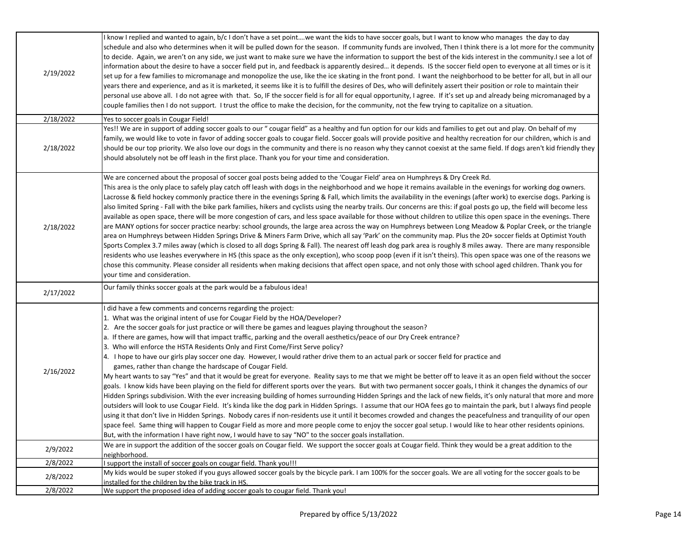| 2/19/2022 | know I replied and wanted to again, b/c I don't have a set pointwe want the kids to have soccer goals, but I want to know who manages the day to day<br>schedule and also who determines when it will be pulled down for the season. If community funds are involved, Then I think there is a lot more for the community<br>to decide. Again, we aren't on any side, we just want to make sure we have the information to support the best of the kids interest in the community.I see a lot of<br>information about the desire to have a soccer field put in, and feedback is apparently desired it depends. IS the soccer field open to everyone at all times or is it<br>set up for a few families to micromanage and monopolize the use, like the ice skating in the front pond. I want the neighborhood to be better for all, but in all our<br>years there and experience, and as it is marketed, it seems like it is to fulfill the desires of Des, who will definitely assert their position or role to maintain their<br>personal use above all. I do not agree with that. So, IF the soccer field is for all for equal opportunity, I agree. If it's set up and already being micromanaged by a<br>couple families then I do not support. I trust the office to make the decision, for the community, not the few trying to capitalize on a situation.                                                                                                                                                                                                                                                                                                                                                                                                                                                              |
|-----------|-------------------------------------------------------------------------------------------------------------------------------------------------------------------------------------------------------------------------------------------------------------------------------------------------------------------------------------------------------------------------------------------------------------------------------------------------------------------------------------------------------------------------------------------------------------------------------------------------------------------------------------------------------------------------------------------------------------------------------------------------------------------------------------------------------------------------------------------------------------------------------------------------------------------------------------------------------------------------------------------------------------------------------------------------------------------------------------------------------------------------------------------------------------------------------------------------------------------------------------------------------------------------------------------------------------------------------------------------------------------------------------------------------------------------------------------------------------------------------------------------------------------------------------------------------------------------------------------------------------------------------------------------------------------------------------------------------------------------------------------------------------------------------------------------------------------------------|
| 2/18/2022 | Yes to soccer goals in Cougar Field!                                                                                                                                                                                                                                                                                                                                                                                                                                                                                                                                                                                                                                                                                                                                                                                                                                                                                                                                                                                                                                                                                                                                                                                                                                                                                                                                                                                                                                                                                                                                                                                                                                                                                                                                                                                          |
| 2/18/2022 | Yes!! We are in support of adding soccer goals to our " cougar field" as a healthy and fun option for our kids and families to get out and play. On behalf of my<br>family, we would like to vote in favor of adding soccer goals to cougar field. Soccer goals will provide positive and healthy recreation for our children, which is and<br>should be our top priority. We also love our dogs in the community and there is no reason why they cannot coexist at the same field. If dogs aren't kid friendly they<br>should absolutely not be off leash in the first place. Thank you for your time and consideration.                                                                                                                                                                                                                                                                                                                                                                                                                                                                                                                                                                                                                                                                                                                                                                                                                                                                                                                                                                                                                                                                                                                                                                                                     |
| 2/18/2022 | We are concerned about the proposal of soccer goal posts being added to the 'Cougar Field' area on Humphreys & Dry Creek Rd.<br>This area is the only place to safely play catch off leash with dogs in the neighborhood and we hope it remains available in the evenings for working dog owners.<br>Lacrosse & field hockey commonly practice there in the evenings Spring & Fall, which limits the availability in the evenings (after work) to exercise dogs. Parking is<br>also limited Spring - Fall with the bike park families, hikers and cyclists using the nearby trails. Our concerns are this: if goal posts go up, the field will become less<br>available as open space, there will be more congestion of cars, and less space available for those without children to utilize this open space in the evenings. There<br>are MANY options for soccer practice nearby: school grounds, the large area across the way on Humphreys between Long Meadow & Poplar Creek, or the triangle<br>area on Humphreys between Hidden Springs Drive & Miners Farm Drive, which all say 'Park' on the community map. Plus the 20+ soccer fields at Optimist Youth<br>Sports Complex 3.7 miles away (which is closed to all dogs Spring & Fall). The nearest off leash dog park area is roughly 8 miles away. There are many responsible<br>residents who use leashes everywhere in HS (this space as the only exception), who scoop poop (even if it isn't theirs). This open space was one of the reasons we<br>chose this community. Please consider all residents when making decisions that affect open space, and not only those with school aged children. Thank you for<br>your time and consideration.                                                                                                                |
| 2/17/2022 | Our family thinks soccer goals at the park would be a fabulous idea!                                                                                                                                                                                                                                                                                                                                                                                                                                                                                                                                                                                                                                                                                                                                                                                                                                                                                                                                                                                                                                                                                                                                                                                                                                                                                                                                                                                                                                                                                                                                                                                                                                                                                                                                                          |
| 2/16/2022 | did have a few comments and concerns regarding the project:<br>1. What was the original intent of use for Cougar Field by the HOA/Developer?<br>2. Are the soccer goals for just practice or will there be games and leagues playing throughout the season?<br>a. If there are games, how will that impact traffic, parking and the overall aesthetics/peace of our Dry Creek entrance?<br>3. Who will enforce the HSTA Residents Only and First Come/First Serve policy?<br>4. I hope to have our girls play soccer one day. However, I would rather drive them to an actual park or soccer field for practice and<br>games, rather than change the hardscape of Cougar Field.<br>My heart wants to say "Yes" and that it would be great for everyone. Reality says to me that we might be better off to leave it as an open field without the soccer<br>goals. I know kids have been playing on the field for different sports over the years. But with two permanent soccer goals, I think it changes the dynamics of our<br>Hidden Springs subdivision. With the ever increasing building of homes surrounding Hidden Springs and the lack of new fields, it's only natural that more and more<br>outsiders will look to use Cougar Field. It's kinda like the dog park in Hidden Springs. I assume that our HOA fees go to maintain the park, but I always find people<br>using it that don't live in Hidden Springs. Nobody cares if non-residents use it until it becomes crowded and changes the peacefulness and tranquility of our open<br>space feel. Same thing will happen to Cougar Field as more and more people come to enjoy the soccer goal setup. I would like to hear other residents opinions.<br>But, with the information I have right now, I would have to say "NO" to the soccer goals installation. |
| 2/9/2022  | We are in support the addition of the soccer goals on Cougar field. We support the soccer goals at Cougar field. Think they would be a great addition to the<br>neighborhood.                                                                                                                                                                                                                                                                                                                                                                                                                                                                                                                                                                                                                                                                                                                                                                                                                                                                                                                                                                                                                                                                                                                                                                                                                                                                                                                                                                                                                                                                                                                                                                                                                                                 |
| 2/8/2022  | I support the install of soccer goals on cougar field. Thank you!!!                                                                                                                                                                                                                                                                                                                                                                                                                                                                                                                                                                                                                                                                                                                                                                                                                                                                                                                                                                                                                                                                                                                                                                                                                                                                                                                                                                                                                                                                                                                                                                                                                                                                                                                                                           |
| 2/8/2022  | My kids would be super stoked if you guys allowed soccer goals by the bicycle park. I am 100% for the soccer goals. We are all voting for the soccer goals to be<br>installed for the children by the bike track in HS.                                                                                                                                                                                                                                                                                                                                                                                                                                                                                                                                                                                                                                                                                                                                                                                                                                                                                                                                                                                                                                                                                                                                                                                                                                                                                                                                                                                                                                                                                                                                                                                                       |
| 2/8/2022  | We support the proposed idea of adding soccer goals to cougar field. Thank you!                                                                                                                                                                                                                                                                                                                                                                                                                                                                                                                                                                                                                                                                                                                                                                                                                                                                                                                                                                                                                                                                                                                                                                                                                                                                                                                                                                                                                                                                                                                                                                                                                                                                                                                                               |